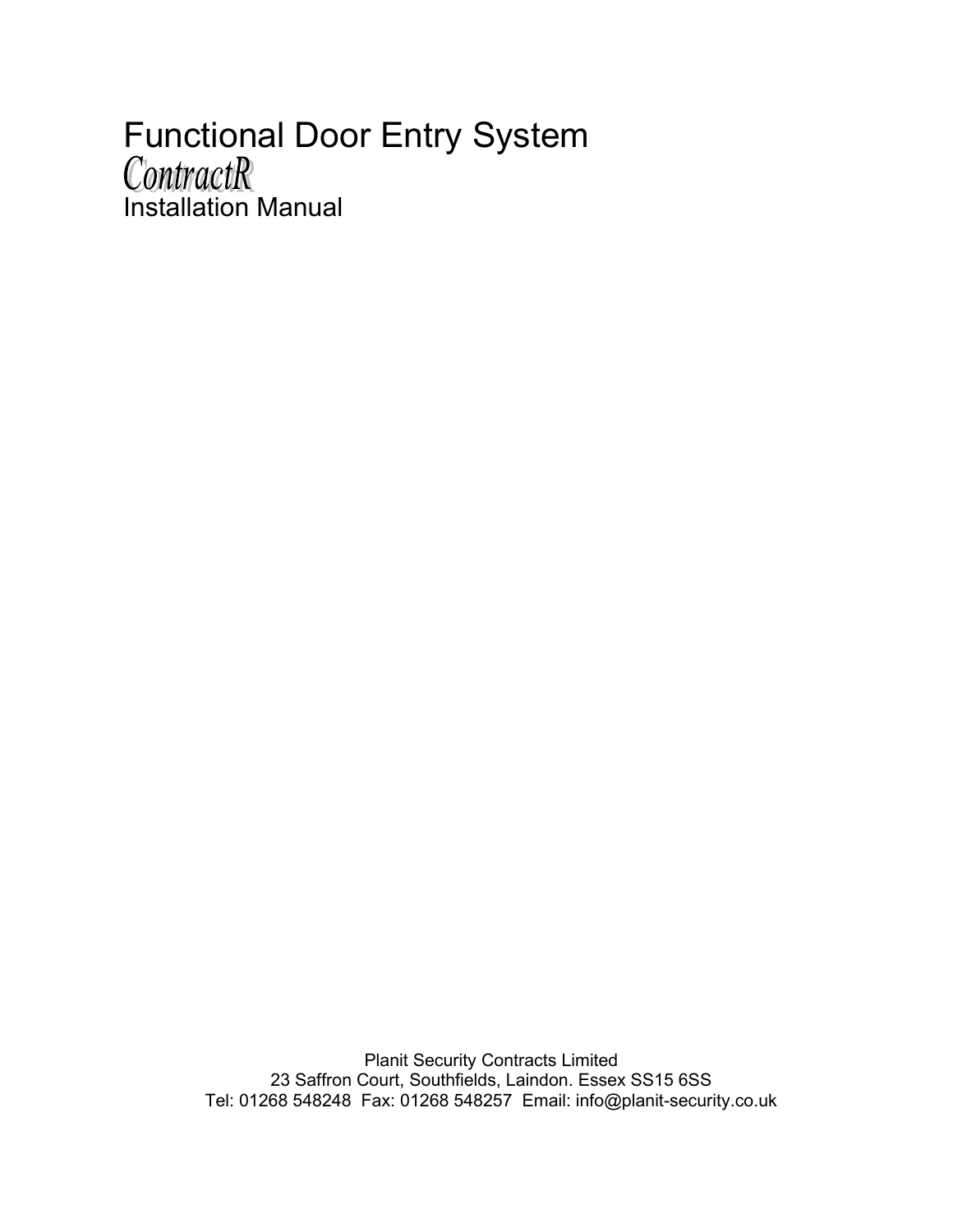# Functional Door Entry System<br>ContractR Installation Manual

Planit Security Contracts Limited 23 Saffron Court, Southfields, Laindon. Essex SS15 6SS Tel: 01268 548248 Fax: 01268 548257 Email: info@planit-security.co.uk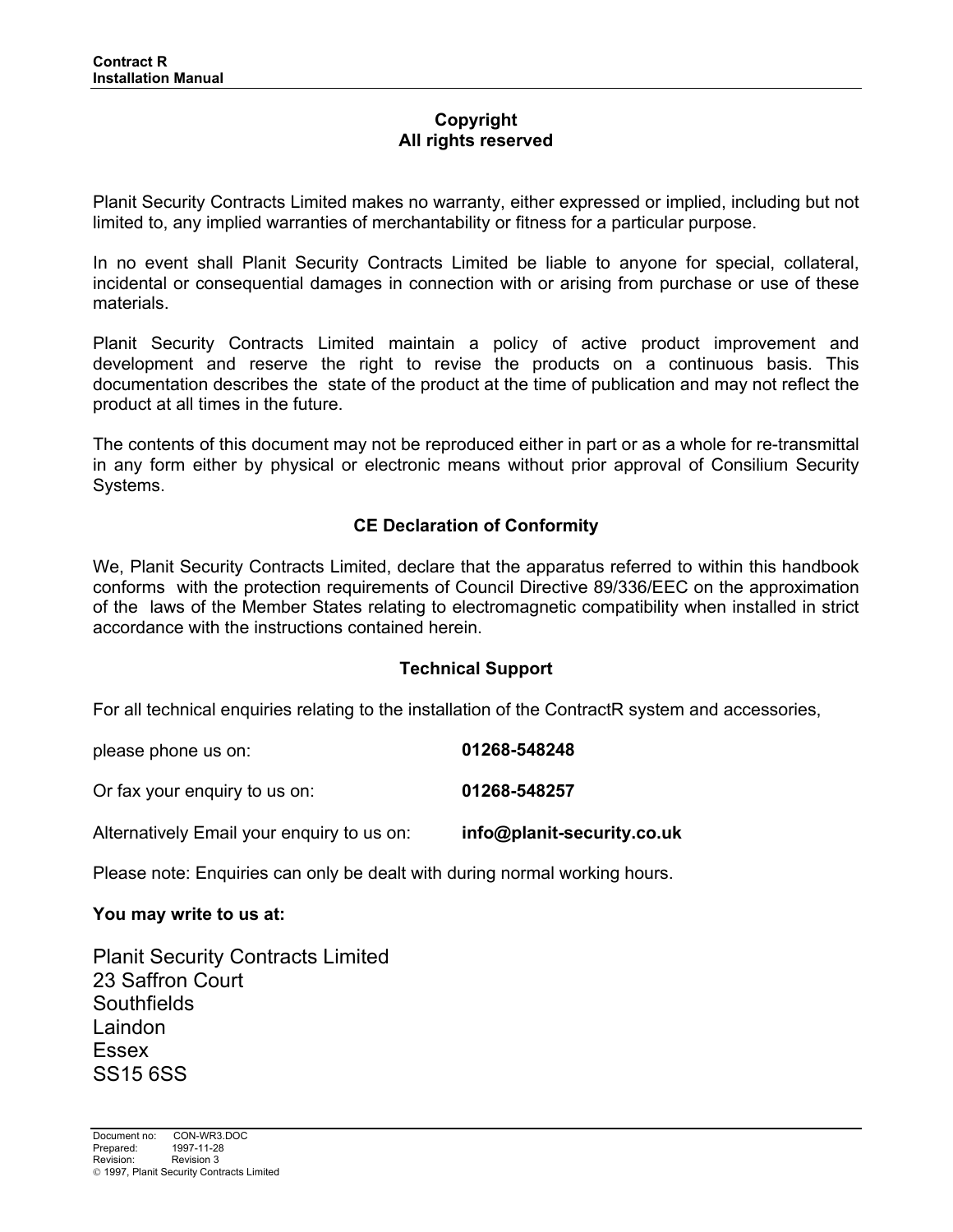## **Copyright All rights reserved**

Planit Security Contracts Limited makes no warranty, either expressed or implied, including but not limited to, any implied warranties of merchantability or fitness for a particular purpose.

In no event shall Planit Security Contracts Limited be liable to anyone for special, collateral, incidental or consequential damages in connection with or arising from purchase or use of these materials.

Planit Security Contracts Limited maintain a policy of active product improvement and development and reserve the right to revise the products on a continuous basis. This documentation describes the state of the product at the time of publication and may not reflect the product at all times in the future.

The contents of this document may not be reproduced either in part or as a whole for re-transmittal in any form either by physical or electronic means without prior approval of Consilium Security Systems.

## **CE Declaration of Conformity**

We, Planit Security Contracts Limited, declare that the apparatus referred to within this handbook conforms with the protection requirements of Council Directive 89/336/EEC on the approximation of the laws of the Member States relating to electromagnetic compatibility when installed in strict accordance with the instructions contained herein.

#### **Technical Support**

For all technical enquiries relating to the installation of the ContractR system and accessories,

| please phone us on:                                             | 01268-548248                   |
|-----------------------------------------------------------------|--------------------------------|
| Or fax your enguiry to us on:                                   | 01268-548257                   |
| المتمر منزله فالرساديين متحدد والمممتان بامريك وسيملأ فالمستحدث | ta fa Antantín a caomhar a cui |

Alternatively Email your enquiry to us on: **info@planit-security.co.uk**

Please note: Enquiries can only be dealt with during normal working hours.

#### **You may write to us at:**

Planit Security Contracts Limited 23 Saffron Court **Southfields** Laindon Essex SS15 6SS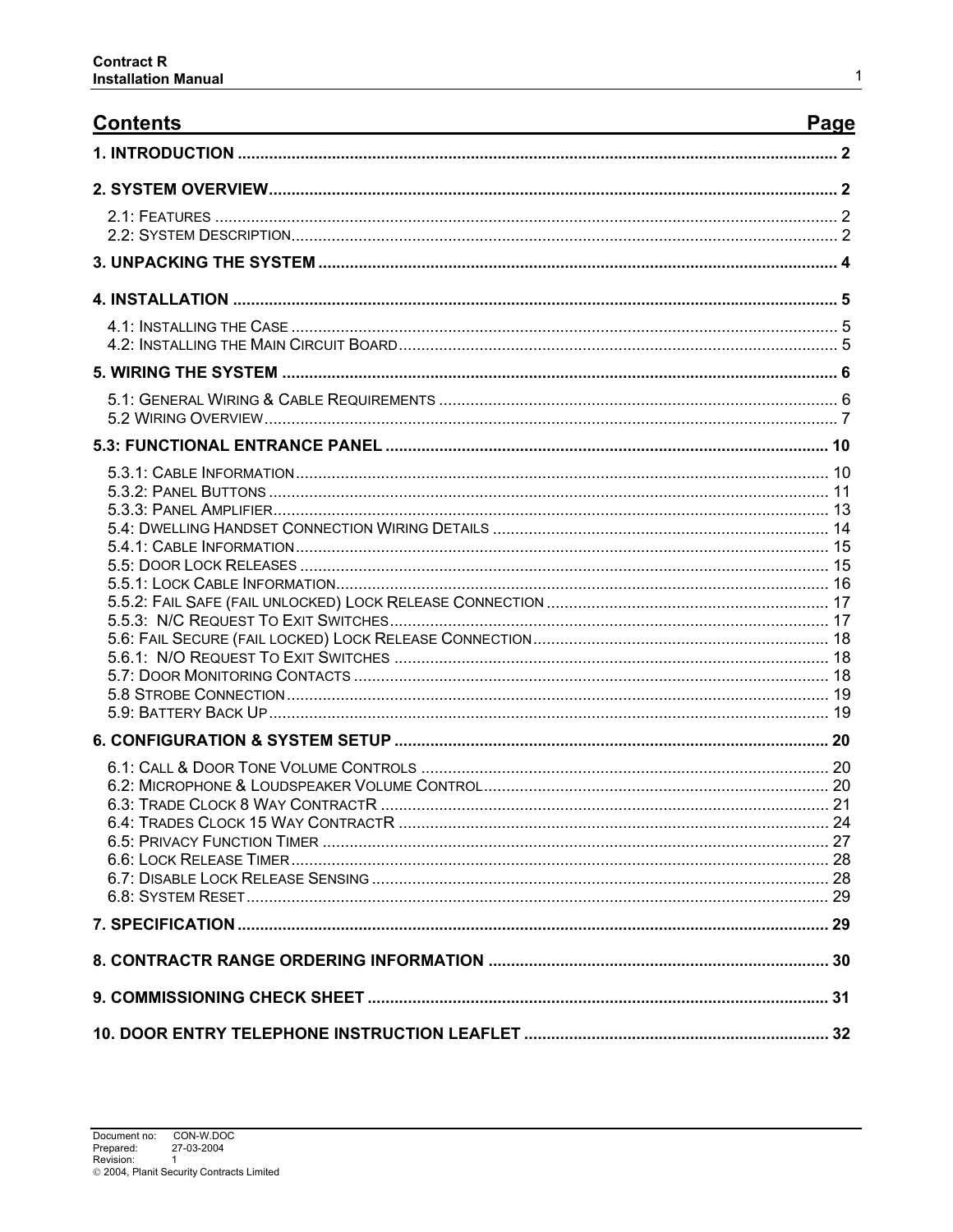| <b>Contents</b> | Page |
|-----------------|------|
|                 |      |
|                 |      |
|                 |      |
|                 |      |
|                 |      |
|                 |      |
|                 |      |
|                 |      |
|                 |      |
|                 |      |
|                 |      |
|                 |      |
|                 |      |
|                 |      |
|                 |      |
|                 |      |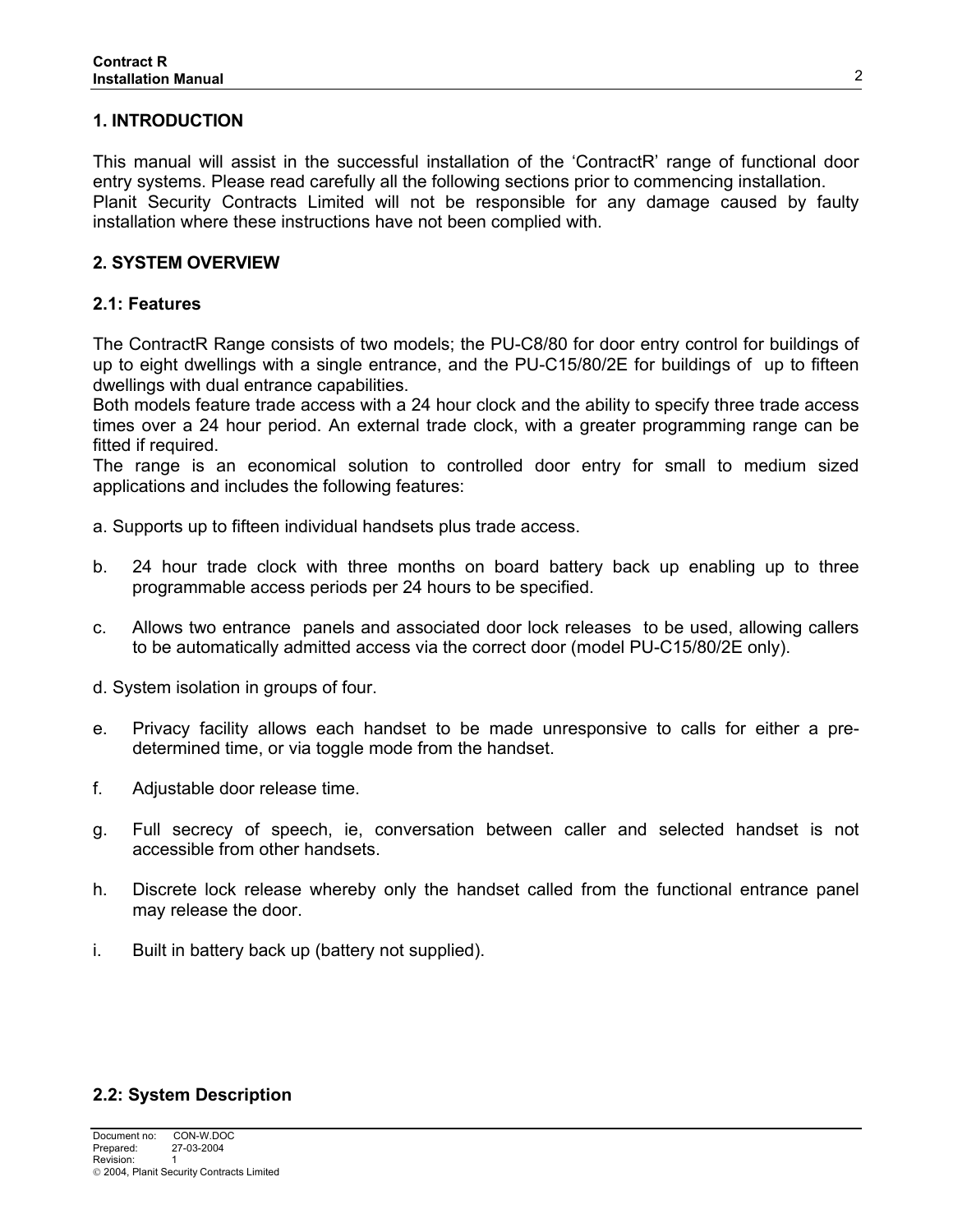## **1. INTRODUCTION**

This manual will assist in the successful installation of the 'ContractR' range of functional door entry systems. Please read carefully all the following sections prior to commencing installation. Planit Security Contracts Limited will not be responsible for any damage caused by faulty installation where these instructions have not been complied with.

#### **2. SYSTEM OVERVIEW**

## **2.1: Features**

The ContractR Range consists of two models; the PU-C8/80 for door entry control for buildings of up to eight dwellings with a single entrance, and the PU-C15/80/2E for buildings of up to fifteen dwellings with dual entrance capabilities.

Both models feature trade access with a 24 hour clock and the ability to specify three trade access times over a 24 hour period. An external trade clock, with a greater programming range can be fitted if required.

The range is an economical solution to controlled door entry for small to medium sized applications and includes the following features:

a. Supports up to fifteen individual handsets plus trade access.

- b. 24 hour trade clock with three months on board battery back up enabling up to three programmable access periods per 24 hours to be specified.
- c. Allows two entrance panels and associated door lock releases to be used, allowing callers to be automatically admitted access via the correct door (model PU-C15/80/2E only).

d. System isolation in groups of four.

- e. Privacy facility allows each handset to be made unresponsive to calls for either a predetermined time, or via toggle mode from the handset.
- f. Adjustable door release time.
- g. Full secrecy of speech, ie, conversation between caller and selected handset is not accessible from other handsets.
- h. Discrete lock release whereby only the handset called from the functional entrance panel may release the door.
- i. Built in battery back up (battery not supplied).

## **2.2: System Description**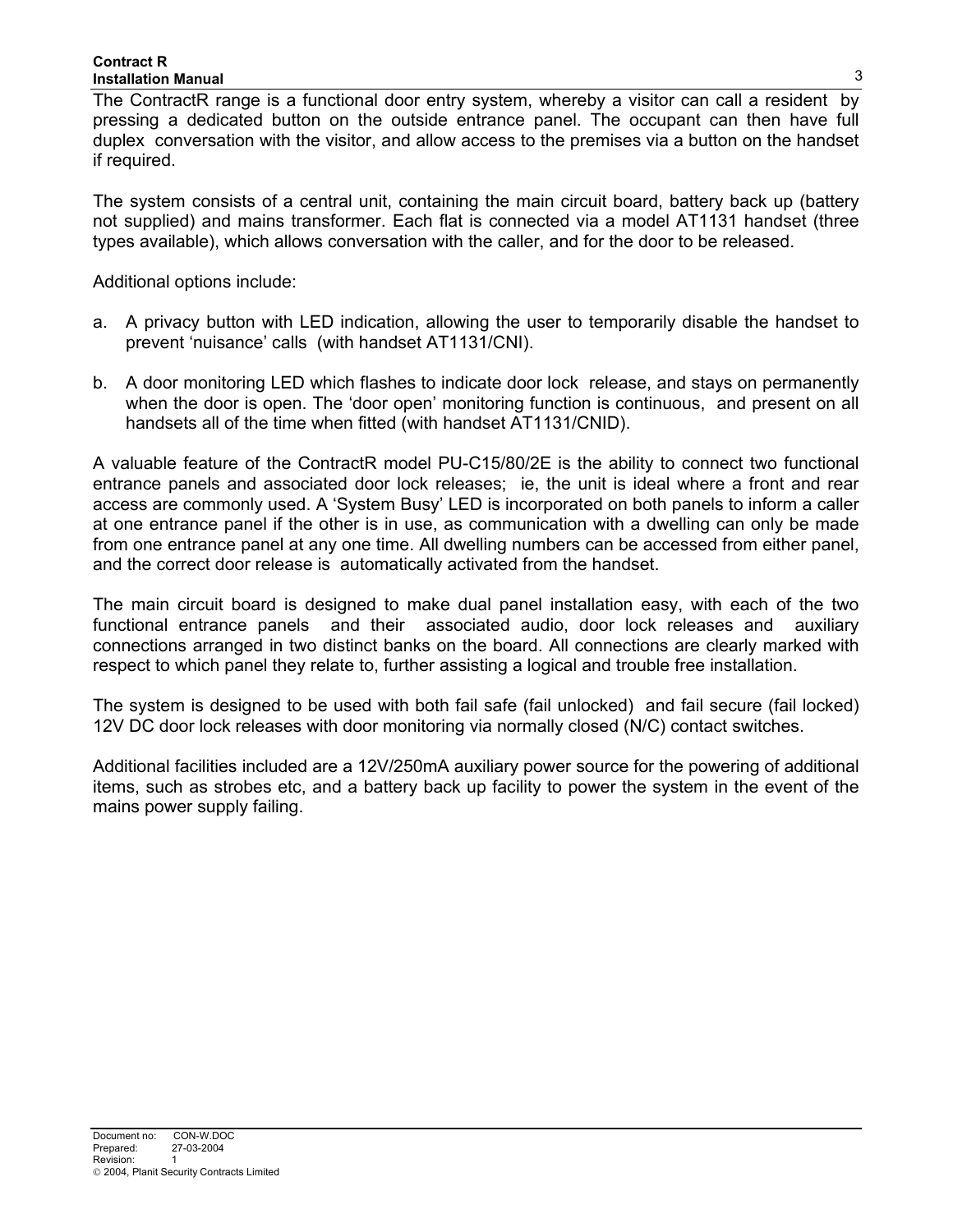#### **Contract R Installation Manual**

The ContractR range is a functional door entry system, whereby a visitor can call a resident by pressing a dedicated button on the outside entrance panel. The occupant can then have full duplex conversation with the visitor, and allow access to the premises via a button on the handset if required.

The system consists of a central unit, containing the main circuit board, battery back up (battery not supplied) and mains transformer. Each flat is connected via a model AT1131 handset (three types available), which allows conversation with the caller, and for the door to be released.

Additional options include:

- a. A privacy button with LED indication, allowing the user to temporarily disable the handset to prevent 'nuisance' calls (with handset AT1131/CNI).
- b. A door monitoring LED which flashes to indicate door lock release, and stays on permanently when the door is open. The 'door open' monitoring function is continuous, and present on all handsets all of the time when fitted (with handset AT1131/CNID).

A valuable feature of the ContractR model PU-C15/80/2E is the ability to connect two functional entrance panels and associated door lock releases; ie, the unit is ideal where a front and rear access are commonly used. A 'System Busy' LED is incorporated on both panels to inform a caller at one entrance panel if the other is in use, as communication with a dwelling can only be made from one entrance panel at any one time. All dwelling numbers can be accessed from either panel, and the correct door release is automatically activated from the handset.

The main circuit board is designed to make dual panel installation easy, with each of the two functional entrance panels and their associated audio, door lock releases and auxiliary connections arranged in two distinct banks on the board. All connections are clearly marked with respect to which panel they relate to, further assisting a logical and trouble free installation.

The system is designed to be used with both fail safe (fail unlocked) and fail secure (fail locked) 12V DC door lock releases with door monitoring via normally closed (N/C) contact switches.

Additional facilities included are a 12V/250mA auxiliary power source for the powering of additional items, such as strobes etc, and a battery back up facility to power the system in the event of the mains power supply failing.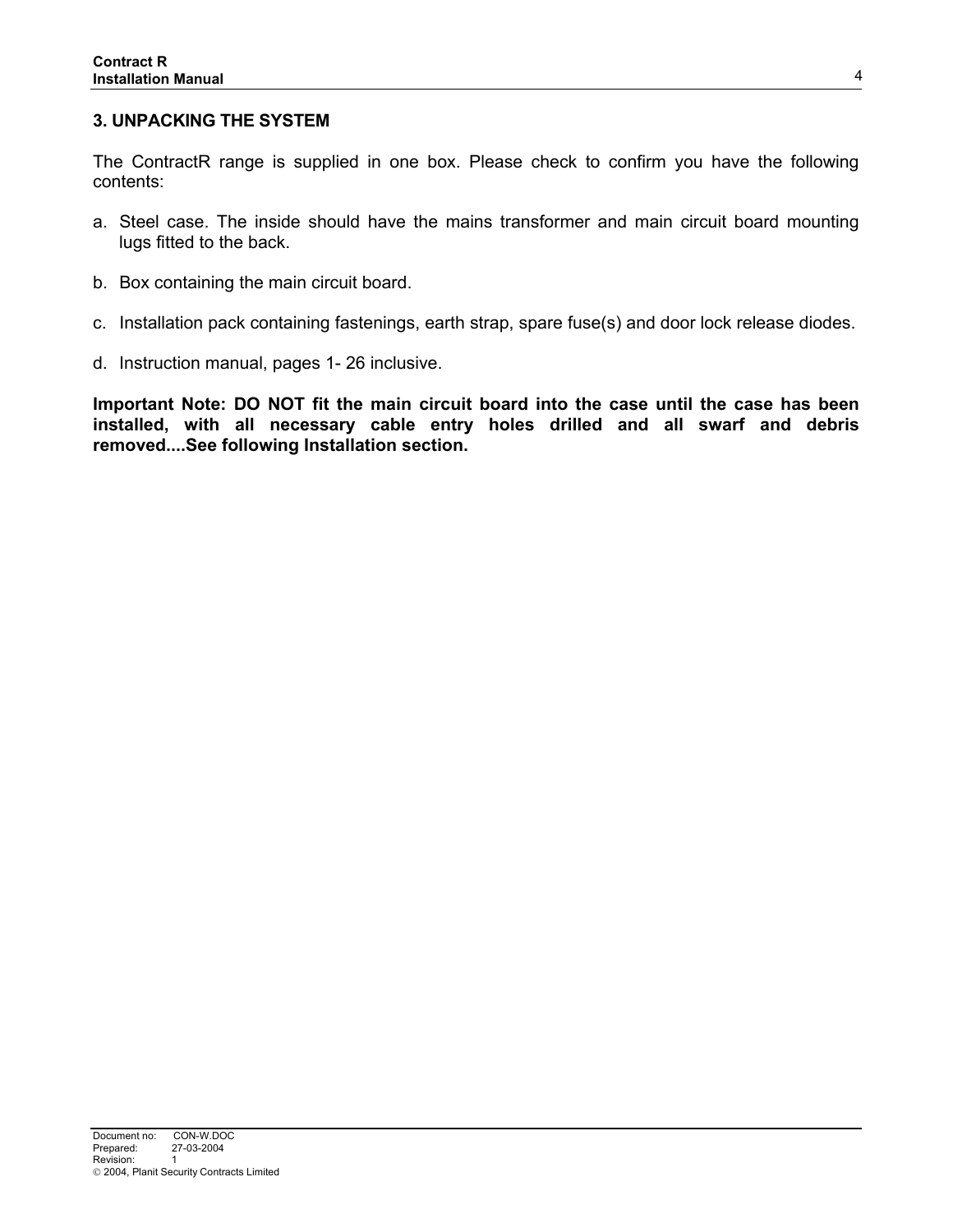#### **3. UNPACKING THE SYSTEM**

The ContractR range is supplied in one box. Please check to confirm you have the following contents:

- a. Steel case. The inside should have the mains transformer and main circuit board mounting lugs fitted to the back.
- b. Box containing the main circuit board.
- c. Installation pack containing fastenings, earth strap, spare fuse(s) and door lock release diodes.
- d. Instruction manual, pages 1- 26 inclusive.

**Important Note: DO NOT fit the main circuit board into the case until the case has been installed, with all necessary cable entry holes drilled and all swarf and debris removed....See following Installation section.**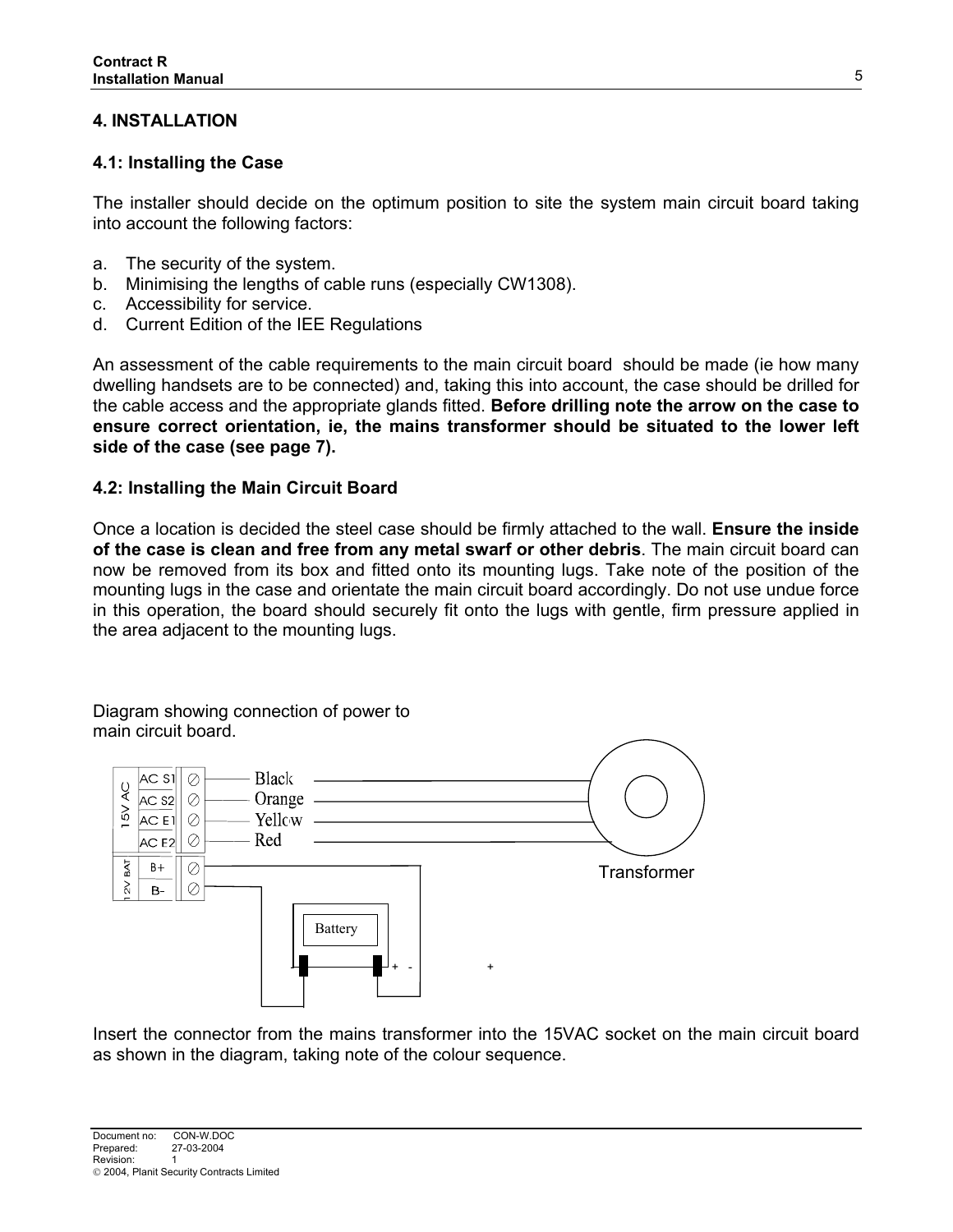## **4. INSTALLATION**

## **4.1: Installing the Case**

The installer should decide on the optimum position to site the system main circuit board taking into account the following factors:

- a. The security of the system.
- b. Minimising the lengths of cable runs (especially CW1308).
- c. Accessibility for service.
- d. Current Edition of the IEE Regulations

An assessment of the cable requirements to the main circuit board should be made (ie how many dwelling handsets are to be connected) and, taking this into account, the case should be drilled for the cable access and the appropriate glands fitted. **Before drilling note the arrow on the case to ensure correct orientation, ie, the mains transformer should be situated to the lower left side of the case (see page 7).** 

## **4.2: Installing the Main Circuit Board**

Once a location is decided the steel case should be firmly attached to the wall. **Ensure the inside of the case is clean and free from any metal swarf or other debris**. The main circuit board can now be removed from its box and fitted onto its mounting lugs. Take note of the position of the mounting lugs in the case and orientate the main circuit board accordingly. Do not use undue force in this operation, the board should securely fit onto the lugs with gentle, firm pressure applied in the area adjacent to the mounting lugs.

Diagram showing connection of power to main circuit board.



Insert the connector from the mains transformer into the 15VAC socket on the main circuit board as shown in the diagram, taking note of the colour sequence.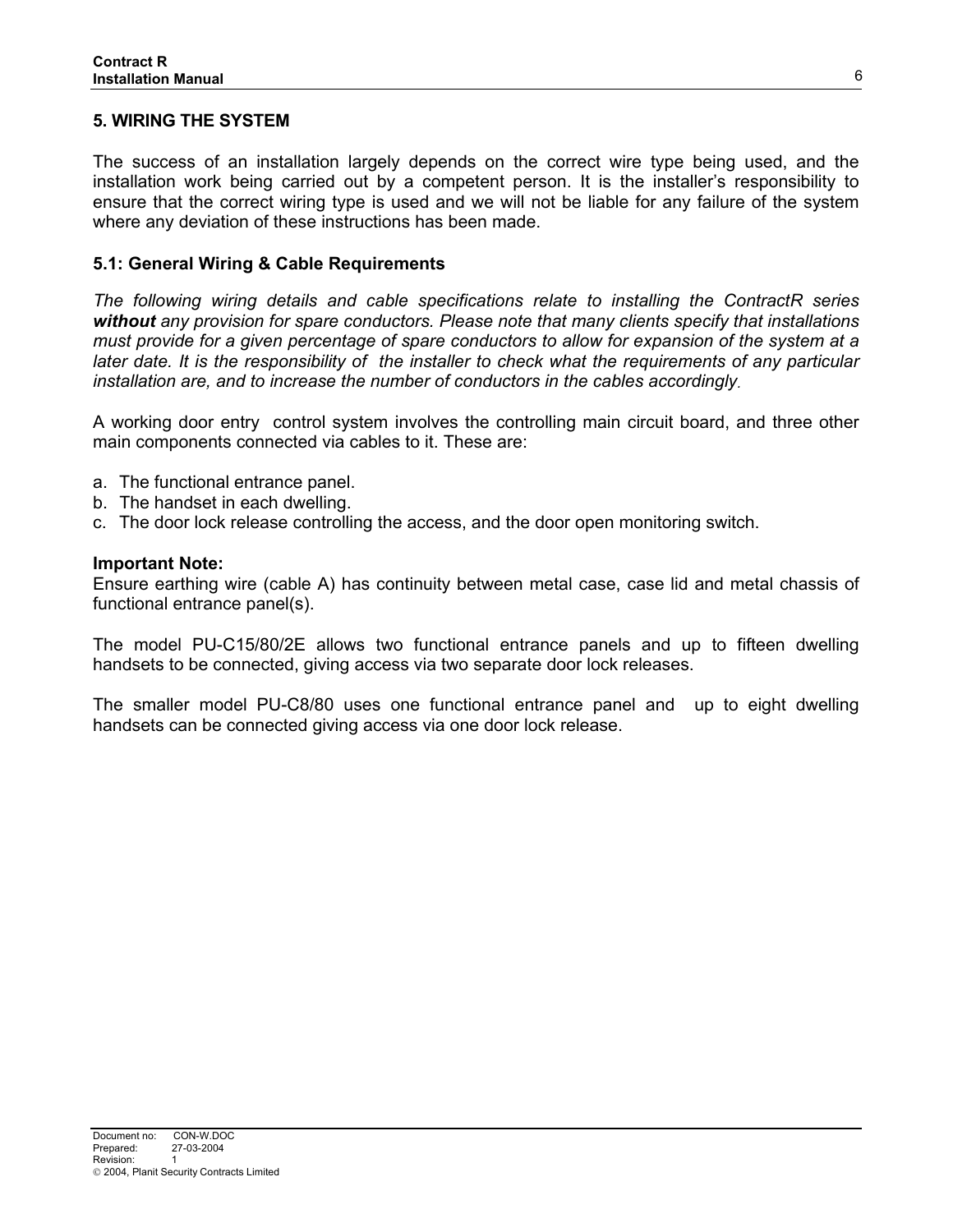## **5. WIRING THE SYSTEM**

The success of an installation largely depends on the correct wire type being used, and the installation work being carried out by a competent person. It is the installer's responsibility to ensure that the correct wiring type is used and we will not be liable for any failure of the system where any deviation of these instructions has been made.

#### **5.1: General Wiring & Cable Requirements**

*The following wiring details and cable specifications relate to installing the ContractR series without any provision for spare conductors. Please note that many clients specify that installations must provide for a given percentage of spare conductors to allow for expansion of the system at a later date. It is the responsibility of the installer to check what the requirements of any particular installation are, and to increase the number of conductors in the cables accordingly.* 

A working door entry control system involves the controlling main circuit board, and three other main components connected via cables to it. These are:

- a. The functional entrance panel.
- b. The handset in each dwelling.
- c. The door lock release controlling the access, and the door open monitoring switch.

#### **Important Note:**

Ensure earthing wire (cable A) has continuity between metal case, case lid and metal chassis of functional entrance panel(s).

The model PU-C15/80/2E allows two functional entrance panels and up to fifteen dwelling handsets to be connected, giving access via two separate door lock releases.

The smaller model PU-C8/80 uses one functional entrance panel and up to eight dwelling handsets can be connected giving access via one door lock release.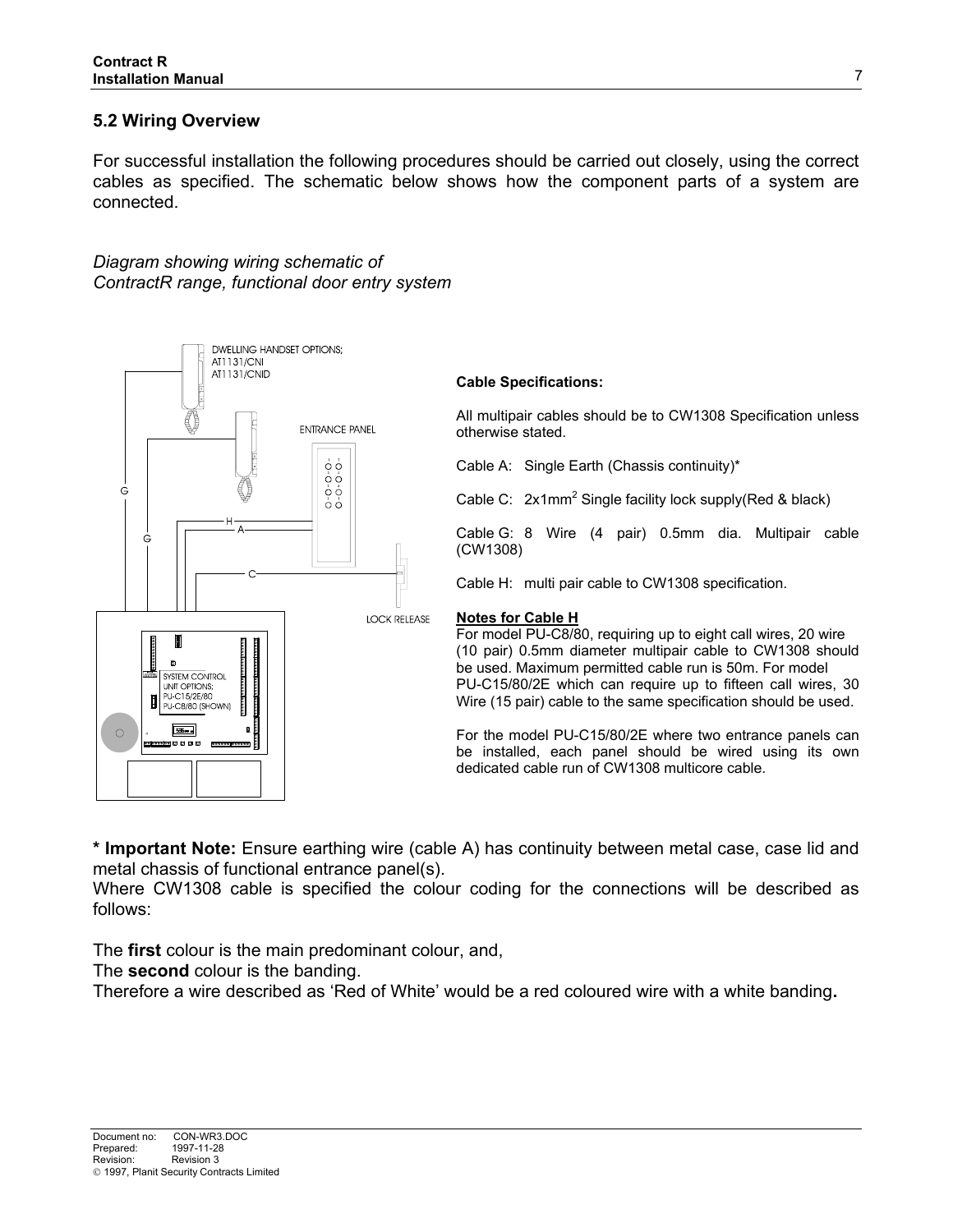## **5.2 Wiring Overview**

For successful installation the following procedures should be carried out closely, using the correct cables as specified. The schematic below shows how the component parts of a system are connected.

*Diagram showing wiring schematic of ContractR range, functional door entry system*



#### **Cable Specifications:**

All multipair cables should be to CW1308 Specification unless otherwise stated.

Cable A: Single Earth (Chassis continuity)\*

Cable C: 2x1mm<sup>2</sup> Single facility lock supply(Red & black)

Cable G: 8 Wire (4 pair) 0.5mm dia. Multipair cable (CW1308)

Cable H: multi pair cable to CW1308 specification.

#### **Notes for Cable H**

For model PU-C8/80, requiring up to eight call wires, 20 wire (10 pair) 0.5mm diameter multipair cable to CW1308 should be used. Maximum permitted cable run is 50m. For model PU-C15/80/2E which can require up to fifteen call wires, 30 Wire (15 pair) cable to the same specification should be used.

For the model PU-C15/80/2E where two entrance panels can be installed, each panel should be wired using its own dedicated cable run of CW1308 multicore cable.

**\* Important Note:** Ensure earthing wire (cable A) has continuity between metal case, case lid and metal chassis of functional entrance panel(s).

Where CW1308 cable is specified the colour coding for the connections will be described as follows:

The **first** colour is the main predominant colour, and,

The **second** colour is the banding.

Therefore a wire described as 'Red of White' would be a red coloured wire with a white banding**.**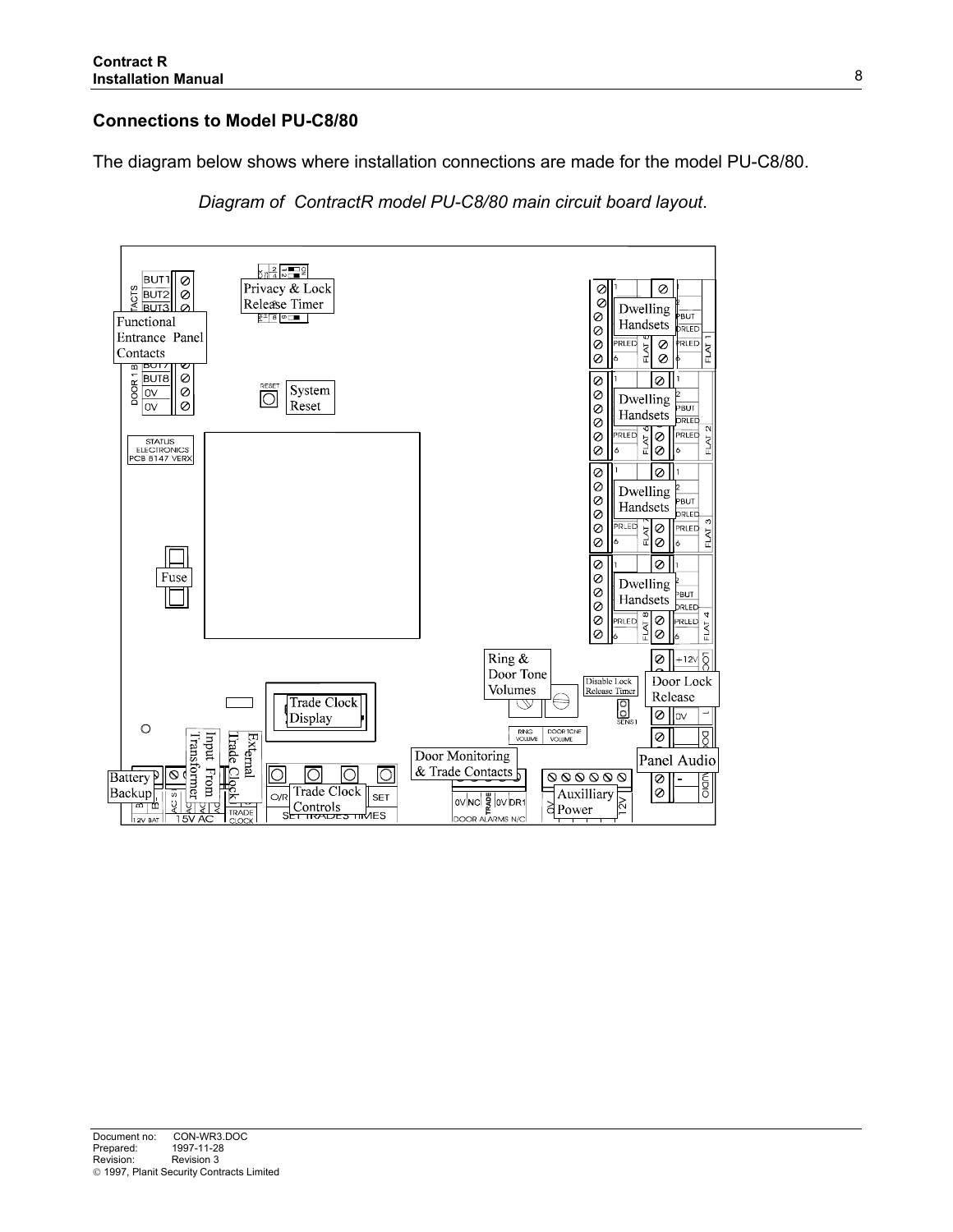# **Connections to Model PU-C8/80**

The diagram below shows where installation connections are made for the model PU-C8/80.

*Diagram of ContractR model PU-C8/80 main circuit board layout*.

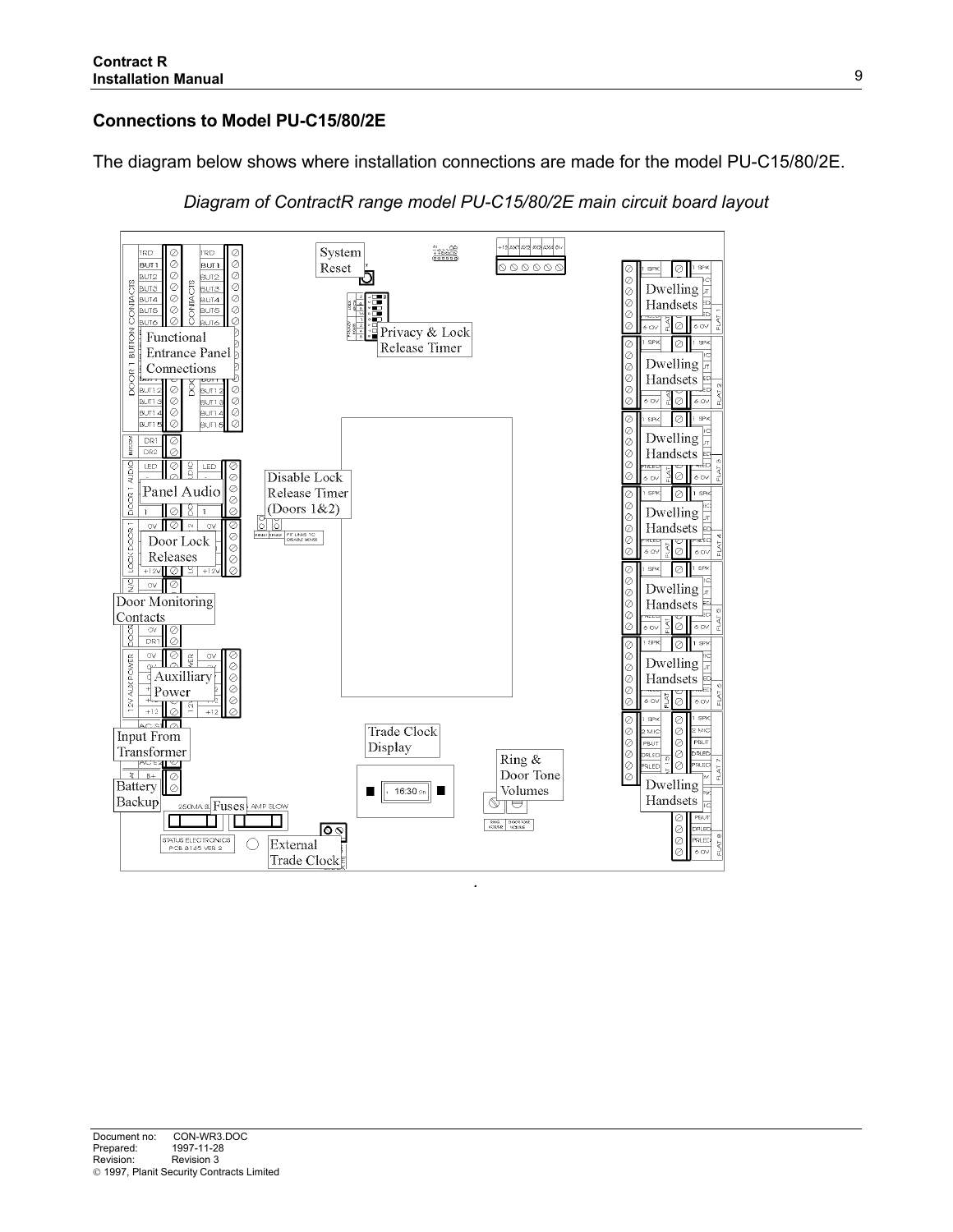## **Connections to Model PU-C15/80/2E**

The diagram below shows where installation connections are made for the model PU-C15/80/2E.



*Diagram of ContractR range model PU-C15/80/2E main circuit board layout*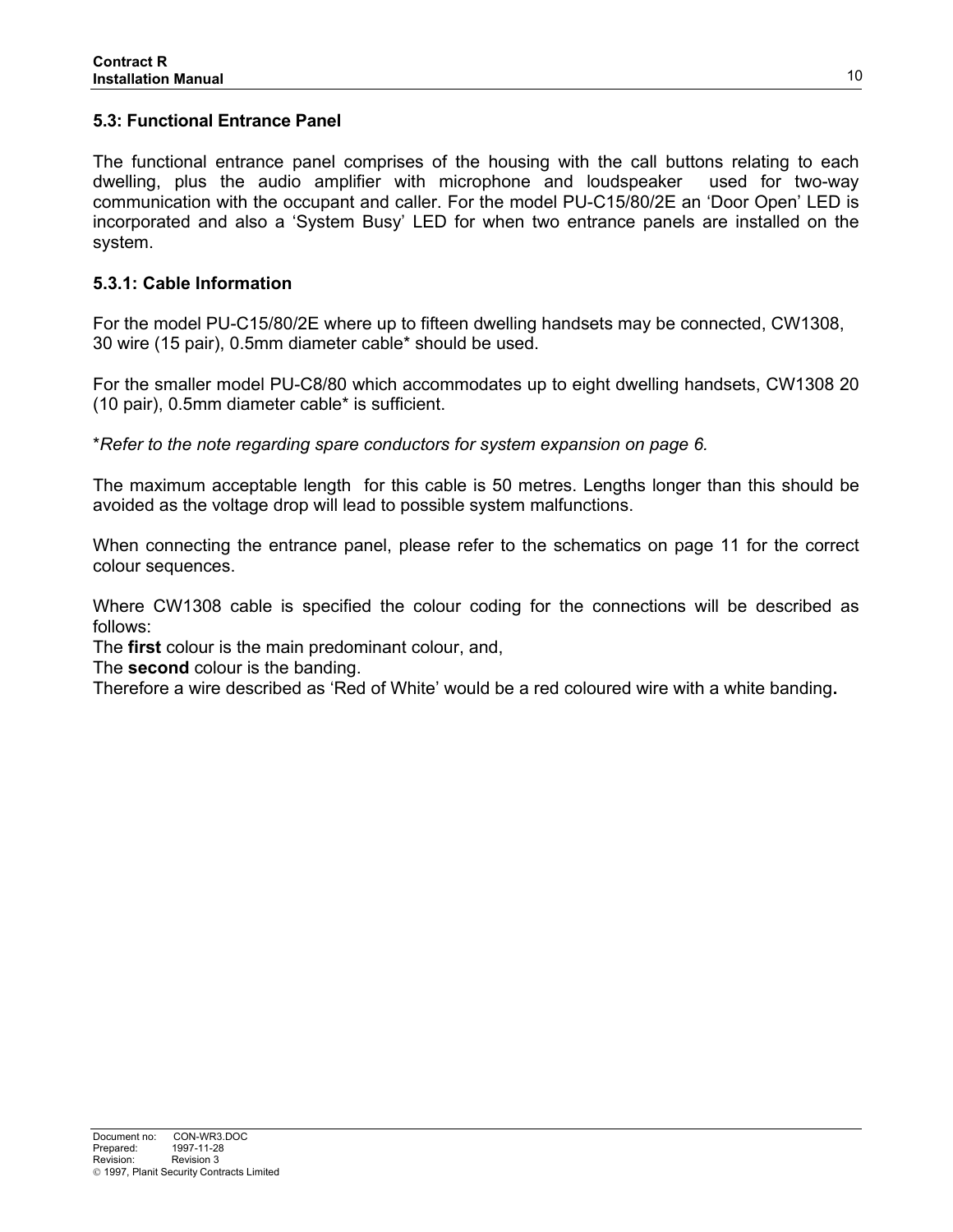## **5.3: Functional Entrance Panel**

The functional entrance panel comprises of the housing with the call buttons relating to each dwelling, plus the audio amplifier with microphone and loudspeaker used for two-way communication with the occupant and caller. For the model PU-C15/80/2E an 'Door Open' LED is incorporated and also a 'System Busy' LED for when two entrance panels are installed on the system.

## **5.3.1: Cable Information**

For the model PU-C15/80/2E where up to fifteen dwelling handsets may be connected, CW1308, 30 wire (15 pair), 0.5mm diameter cable\* should be used.

For the smaller model PU-C8/80 which accommodates up to eight dwelling handsets, CW1308 20 (10 pair), 0.5mm diameter cable\* is sufficient.

\**Refer to the note regarding spare conductors for system expansion on page 6.*

The maximum acceptable length for this cable is 50 metres. Lengths longer than this should be avoided as the voltage drop will lead to possible system malfunctions.

When connecting the entrance panel, please refer to the schematics on page 11 for the correct colour sequences.

Where CW1308 cable is specified the colour coding for the connections will be described as follows:

The **first** colour is the main predominant colour, and,

The **second** colour is the banding.

Therefore a wire described as 'Red of White' would be a red coloured wire with a white banding**.**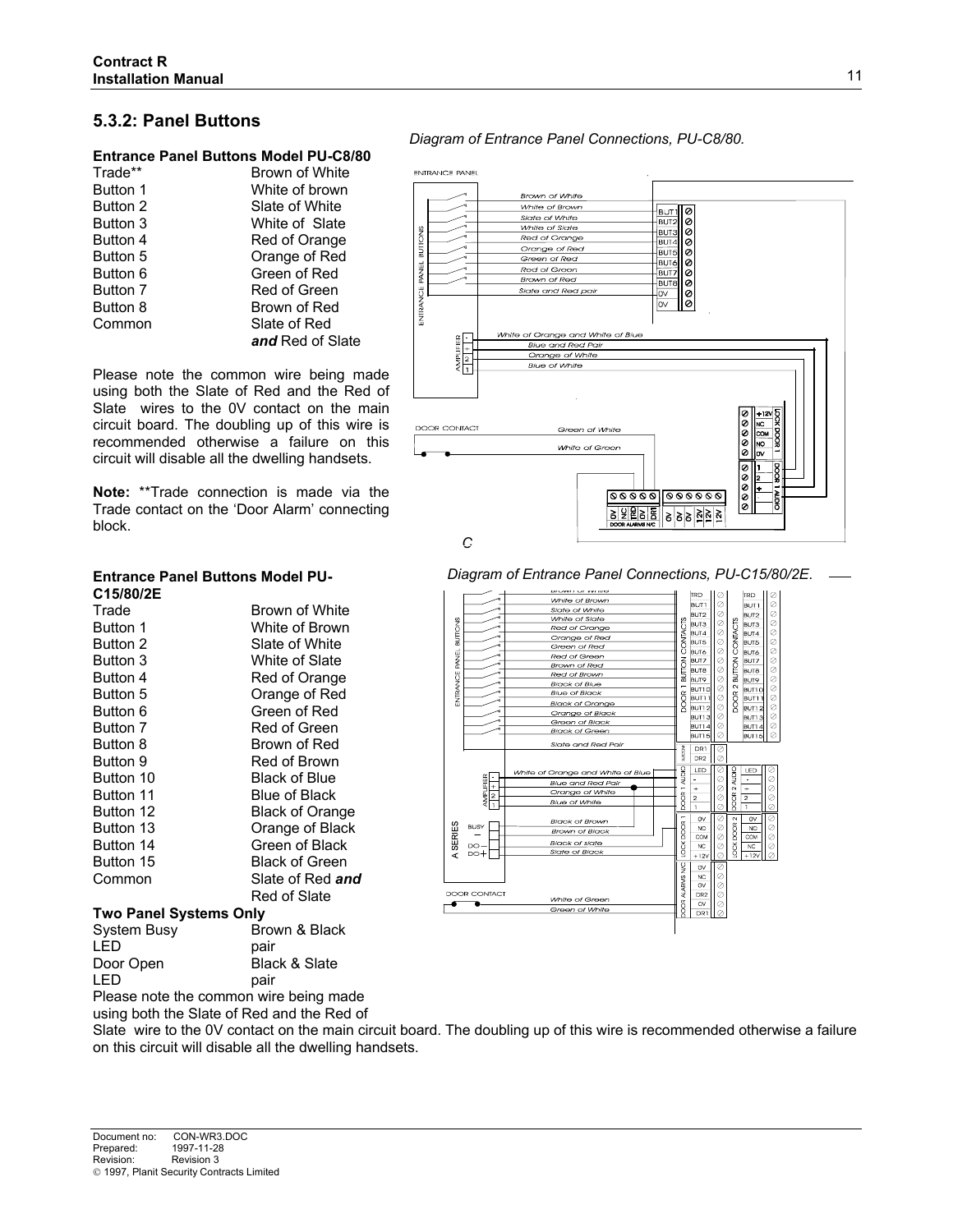#### **5.3.2: Panel Buttons**

#### **Entrance Panel Buttons Model PU-C8/80**

| Trade**         | Brown of White   |
|-----------------|------------------|
| Button 1        | White of brown   |
| Button 2        | Slate of White   |
| Button 3        | White of Slate   |
| Button 4        | Red of Orange    |
| Button 5        | Orange of Red    |
| <b>Button 6</b> | Green of Red     |
| Button 7        | Red of Green     |
| Button 8        | Brown of Red     |
| Common          | Slate of Red     |
|                 | and Red of Slate |

Please note the common wire being made using both the Slate of Red and the Red of Slate wires to the 0V contact on the main circuit board. The doubling up of this wire is recommended otherwise a failure on this circuit will disable all the dwelling handsets.

**Note:** \*\*Trade connection is made via the Trade contact on the 'Door Alarm' connecting block.

# *Diagram of Entrance Panel Connections, PU-C8/80.* **ENTRANCE PANEL**



*Diagram of Entrance Panel Connections, PU-C15/80/2E*.



#### **Entrance Panel Buttons Model PU-C15/80/2E**

| Trade                         | Brown of White         |
|-------------------------------|------------------------|
| Button 1                      | White of Brown         |
| Button 2                      | Slate of White         |
| Button 3                      | White of Slate         |
| Button 4                      | Red of Orange          |
| Button 5                      | Orange of Red          |
| Button 6                      | Green of Red           |
| Button 7                      | Red of Green           |
| Button 8                      | Brown of Red           |
| Button 9                      | Red of Brown           |
| Button 10                     | Black of Blue          |
| Button 11                     | Blue of Black          |
| Button 12                     | <b>Black of Orange</b> |
| Button 13                     | Orange of Black        |
| Button 14                     | Green of Black         |
| Button 15                     | Black of Green         |
| Common                        | Slate of Red and       |
|                               | Red of Slate           |
| <b>Two Panel Systems Only</b> |                        |

| <b>IWU FAILE SYSTEMS UNIV</b> |                                               |
|-------------------------------|-----------------------------------------------|
| System Busy                   | Brown & Black                                 |
| I FD                          | pair                                          |
| Door Open                     | Black & Slate                                 |
| I FD                          | pair                                          |
|                               | Dlagge water that compares when believe model |

Please note the common wire being made using both the Slate of Red and the Red of

Slate wire to the 0V contact on the main circuit board. The doubling up of this wire is recommended otherwise a failure on this circuit will disable all the dwelling handsets.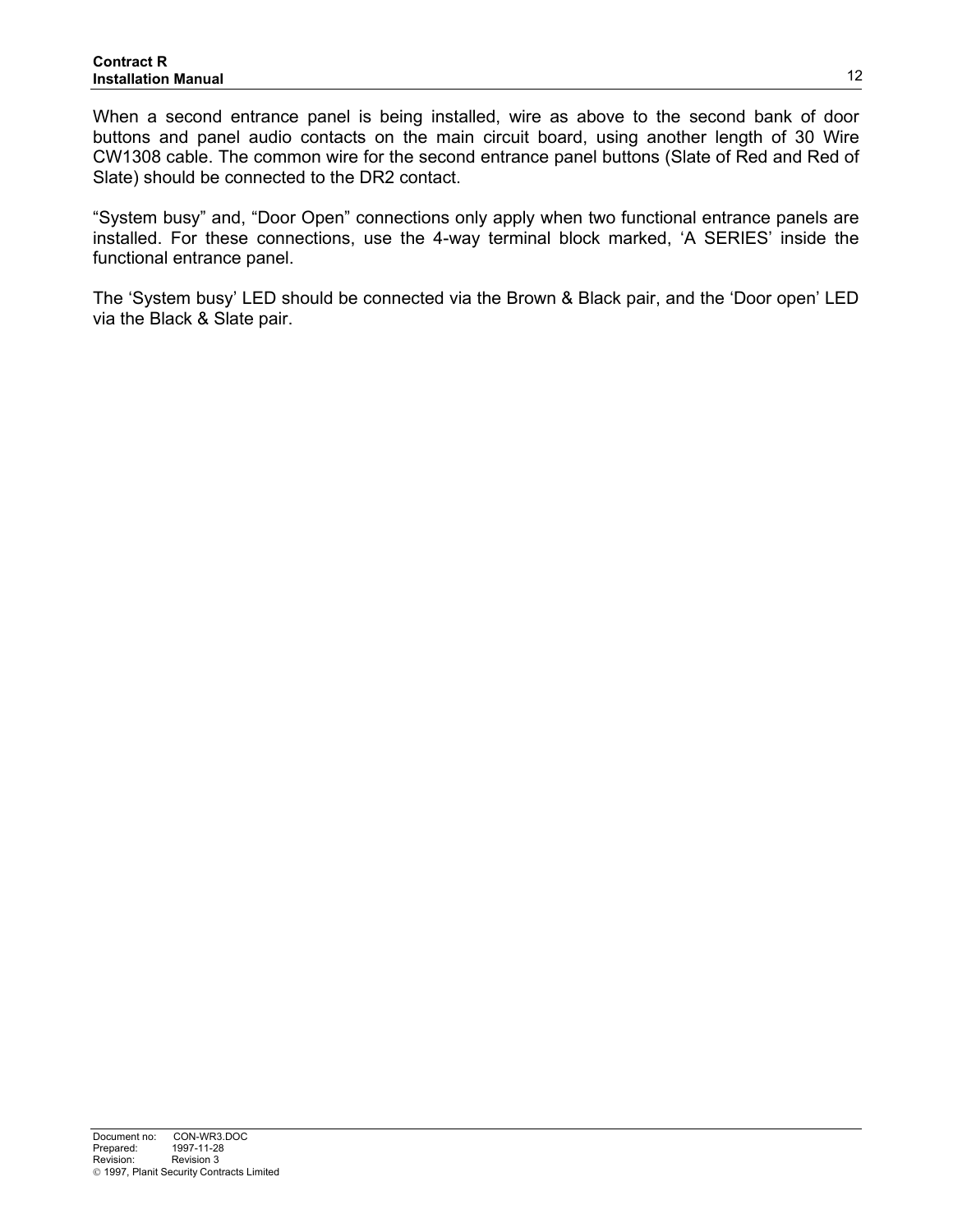When a second entrance panel is being installed, wire as above to the second bank of door buttons and panel audio contacts on the main circuit board, using another length of 30 Wire CW1308 cable. The common wire for the second entrance panel buttons (Slate of Red and Red of Slate) should be connected to the DR2 contact.

"System busy" and, "Door Open" connections only apply when two functional entrance panels are installed. For these connections, use the 4-way terminal block marked, 'A SERIES' inside the functional entrance panel.

The 'System busy' LED should be connected via the Brown & Black pair, and the 'Door open' LED via the Black & Slate pair.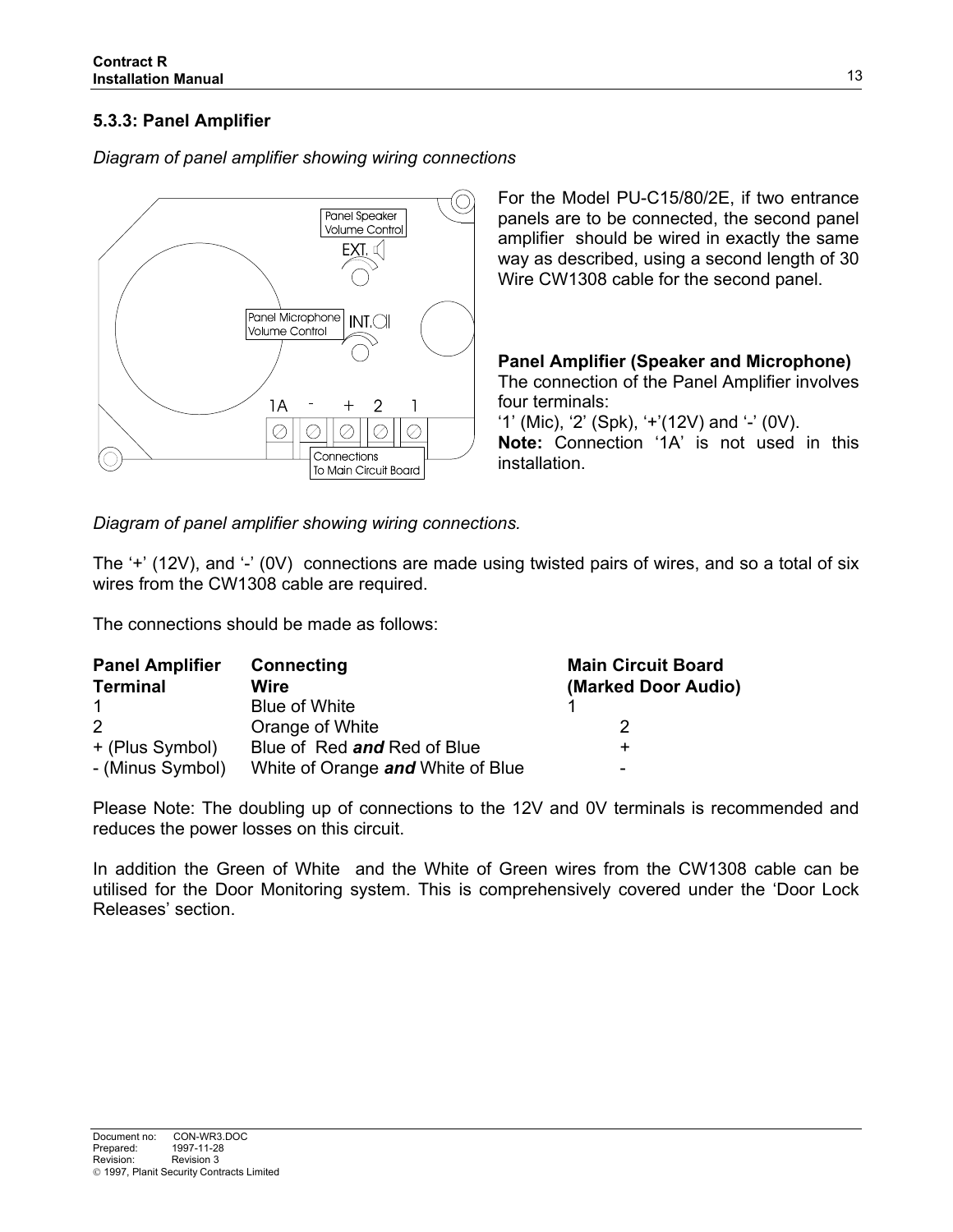# **5.3.3: Panel Amplifier**

O Panel Speaker Volume Control  $EXI \subset \Box$ Panel Microphone  $INTO$ Volume Control  $\overline{2}$ 1Α  $^+$ 1  $\oslash$ ⊘ ⊘ ⊘  $\oslash$ Connections To Main Circuit Board

*Diagram of panel amplifier showing wiring connections*

For the Model PU-C15/80/2E, if two entrance panels are to be connected, the second panel amplifier should be wired in exactly the same way as described, using a second length of 30 Wire CW1308 cable for the second panel.

**Panel Amplifier (Speaker and Microphone)** The connection of the Panel Amplifier involves four terminals:

'1' (Mic), '2' (Spk), '+'(12V) and '-' (0V). **Note:** Connection '1A' is not used in this installation.

*Diagram of panel amplifier showing wiring connections.*

The '+' (12V), and '-' (0V) connections are made using twisted pairs of wires, and so a total of six wires from the CW1308 cable are required.

The connections should be made as follows:

| <b>Panel Amplifier</b> | <b>Connecting</b>                 | <b>Main Circuit Board</b> |  |  |  |
|------------------------|-----------------------------------|---------------------------|--|--|--|
| <b>Terminal</b>        | Wire                              | (Marked Door Audio)       |  |  |  |
|                        | Blue of White                     |                           |  |  |  |
| $\mathcal{P}$          | Orange of White                   |                           |  |  |  |
| + (Plus Symbol)        | Blue of Red and Red of Blue       |                           |  |  |  |
| - (Minus Symbol)       | White of Orange and White of Blue | -                         |  |  |  |

Please Note: The doubling up of connections to the 12V and 0V terminals is recommended and reduces the power losses on this circuit.

In addition the Green of White and the White of Green wires from the CW1308 cable can be utilised for the Door Monitoring system. This is comprehensively covered under the 'Door Lock Releases' section.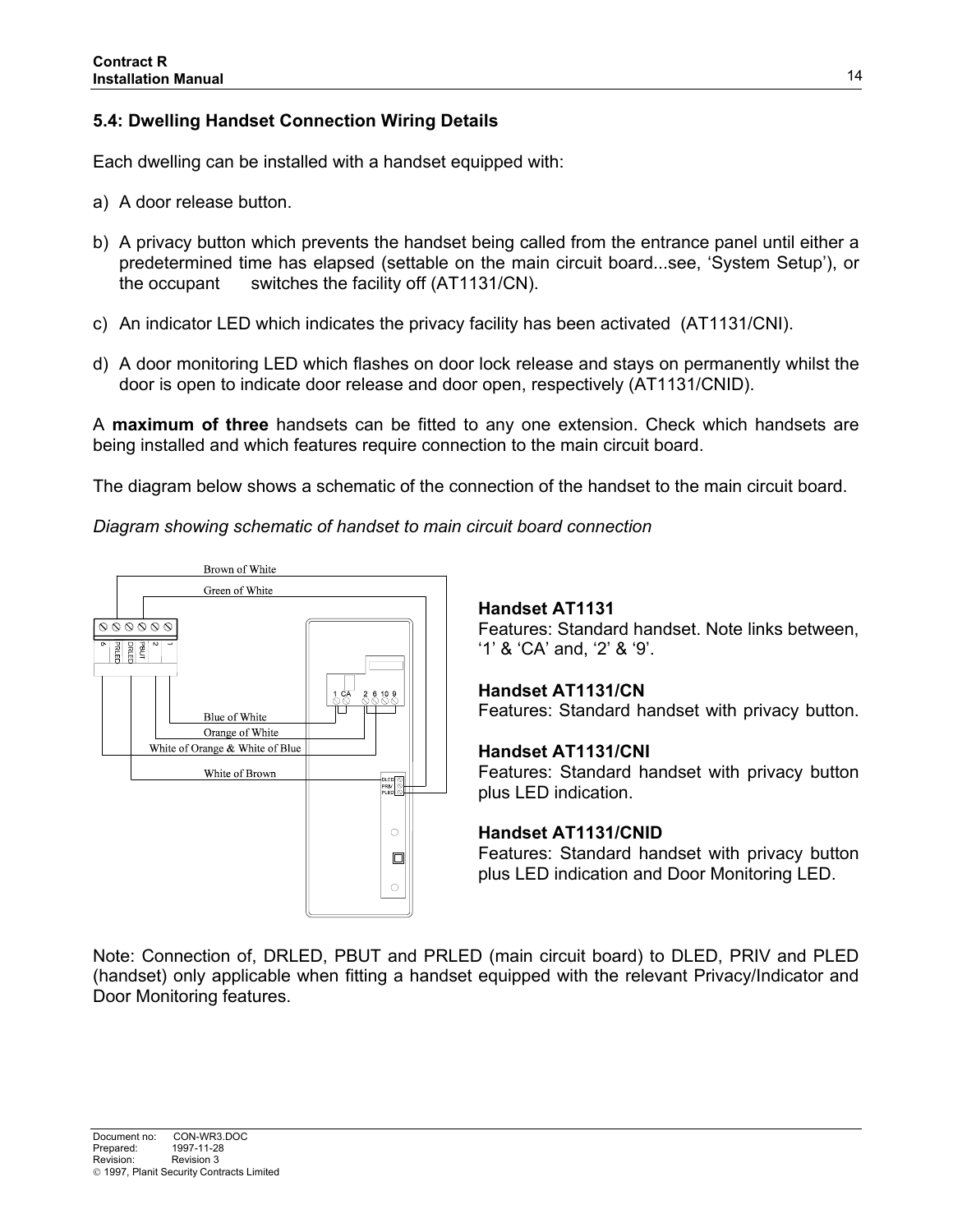# **5.4: Dwelling Handset Connection Wiring Details**

Each dwelling can be installed with a handset equipped with:

- a) A door release button.
- b) A privacy button which prevents the handset being called from the entrance panel until either a predetermined time has elapsed (settable on the main circuit board...see, 'System Setup'), or the occupant switches the facility off (AT1131/CN).
- c) An indicator LED which indicates the privacy facility has been activated (AT1131/CNI).
- d) A door monitoring LED which flashes on door lock release and stays on permanently whilst the door is open to indicate door release and door open, respectively (AT1131/CNID).

A **maximum of three** handsets can be fitted to any one extension. Check which handsets are being installed and which features require connection to the main circuit board.

The diagram below shows a schematic of the connection of the handset to the main circuit board.

*Diagram showing schematic of handset to main circuit board connection*



## **Handset AT1131**

Features: Standard handset. Note links between, '1' & 'CA' and, '2' & '9'.

#### **Handset AT1131/CN**

Features: Standard handset with privacy button.

#### **Handset AT1131/CNI**

Features: Standard handset with privacy button plus LED indication.

#### **Handset AT1131/CNID**

Features: Standard handset with privacy button plus LED indication and Door Monitoring LED.

Note: Connection of, DRLED, PBUT and PRLED (main circuit board) to DLED, PRIV and PLED (handset) only applicable when fitting a handset equipped with the relevant Privacy/Indicator and Door Monitoring features.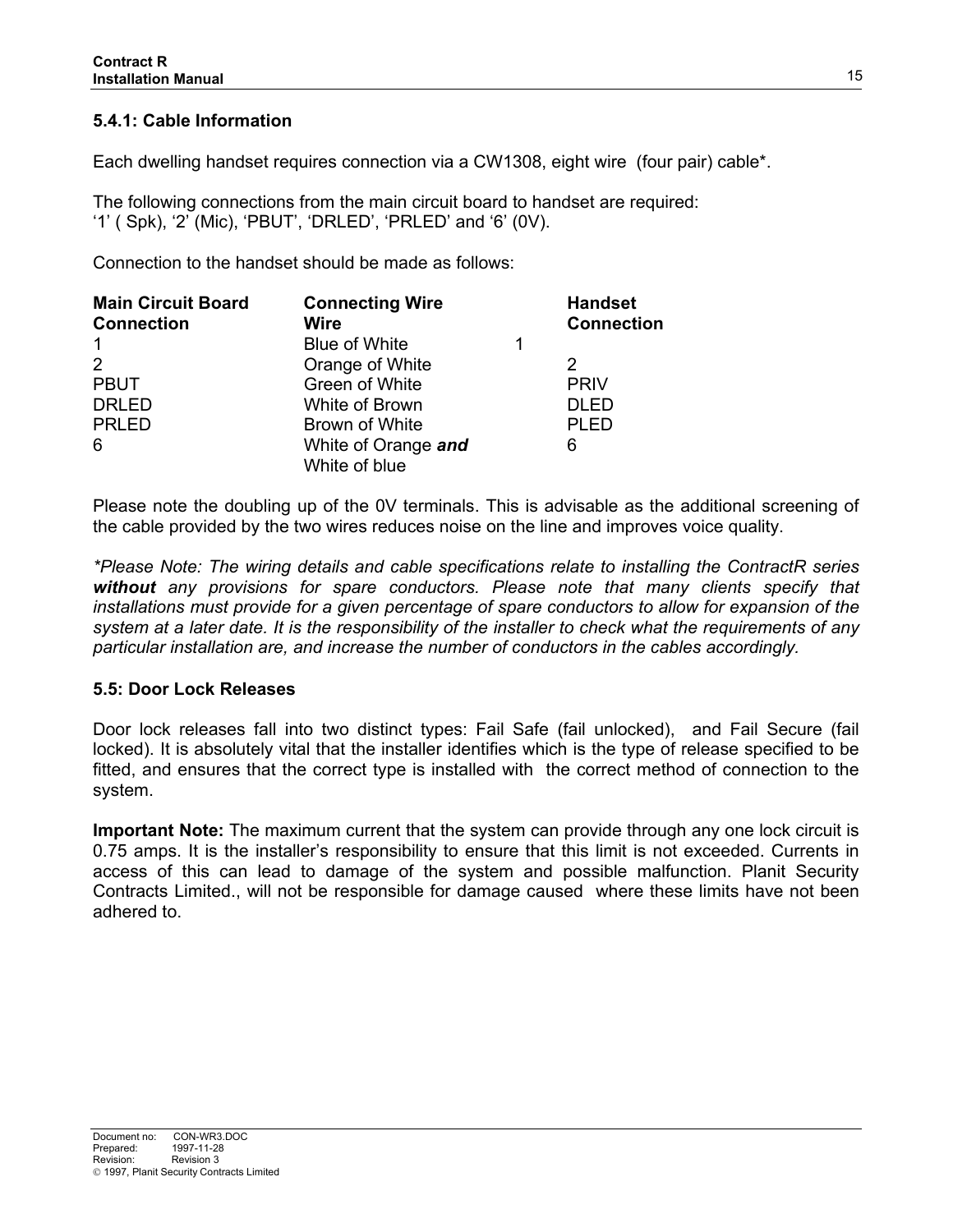# **5.4.1: Cable Information**

Each dwelling handset requires connection via a CW1308, eight wire (four pair) cable\*.

The following connections from the main circuit board to handset are required: '1' ( Spk), '2' (Mic), 'PBUT', 'DRLED', 'PRLED' and '6' (0V).

Connection to the handset should be made as follows:

| <b>Main Circuit Board</b><br><b>Connection</b> | <b>Connecting Wire</b><br><b>Wire</b> | <b>Handset</b><br><b>Connection</b> |
|------------------------------------------------|---------------------------------------|-------------------------------------|
| $\mathbf{1}$                                   | <b>Blue of White</b>                  |                                     |
| 2                                              | Orange of White                       | 2                                   |
| <b>PBUT</b>                                    | Green of White                        | <b>PRIV</b>                         |
| <b>DRLED</b>                                   | White of Brown                        | <b>DLED</b>                         |
| <b>PRLED</b>                                   | Brown of White                        | <b>PLED</b>                         |
| 6                                              | White of Orange and<br>White of blue  | 6                                   |

Please note the doubling up of the 0V terminals. This is advisable as the additional screening of the cable provided by the two wires reduces noise on the line and improves voice quality.

*\*Please Note: The wiring details and cable specifications relate to installing the ContractR series without any provisions for spare conductors. Please note that many clients specify that installations must provide for a given percentage of spare conductors to allow for expansion of the system at a later date. It is the responsibility of the installer to check what the requirements of any particular installation are, and increase the number of conductors in the cables accordingly.*

## **5.5: Door Lock Releases**

Door lock releases fall into two distinct types: Fail Safe (fail unlocked), and Fail Secure (fail locked). It is absolutely vital that the installer identifies which is the type of release specified to be fitted, and ensures that the correct type is installed with the correct method of connection to the system.

**Important Note:** The maximum current that the system can provide through any one lock circuit is 0.75 amps. It is the installer's responsibility to ensure that this limit is not exceeded. Currents in access of this can lead to damage of the system and possible malfunction. Planit Security Contracts Limited., will not be responsible for damage caused where these limits have not been adhered to.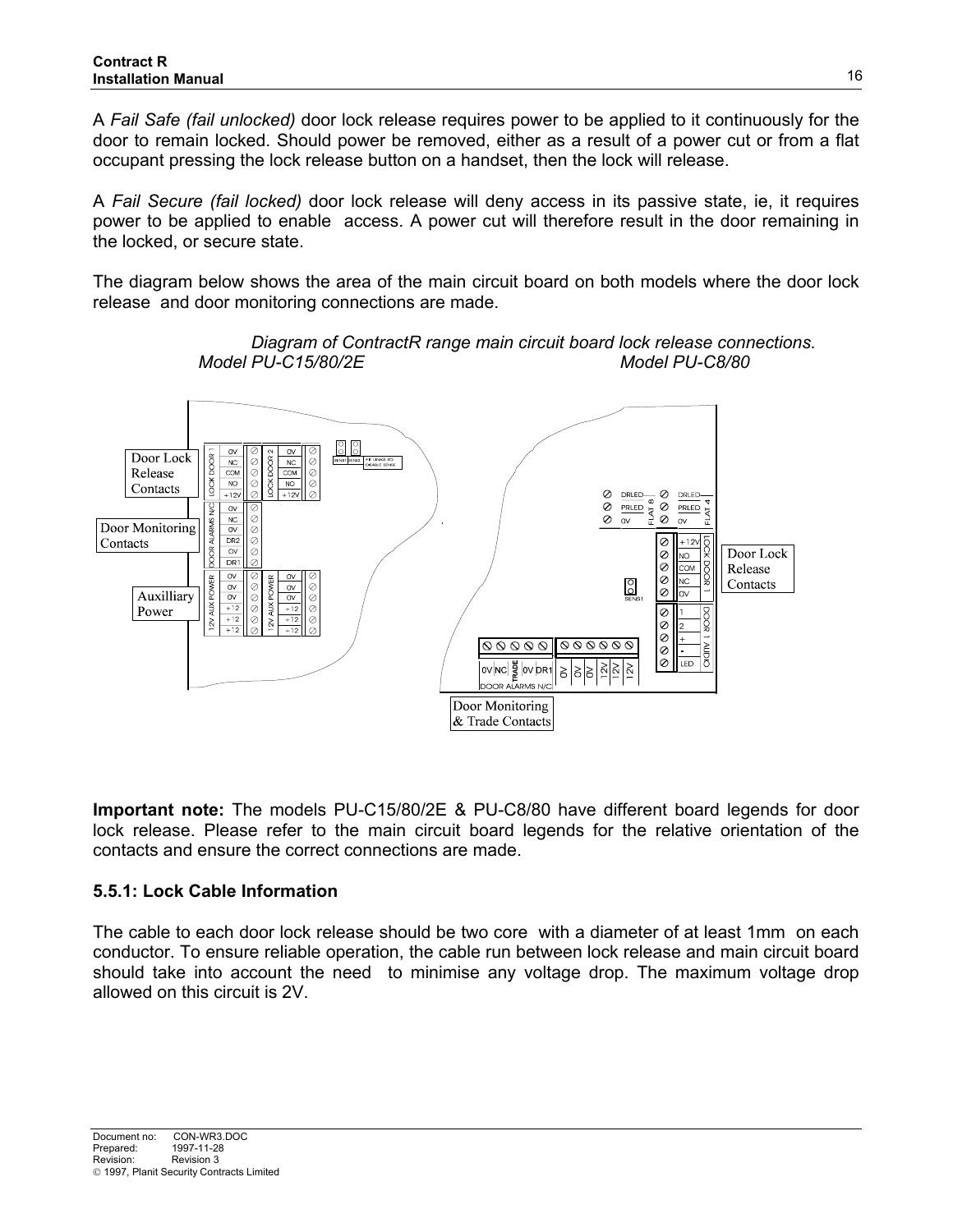A *Fail Safe (fail unlocked)* door lock release requires power to be applied to it continuously for the door to remain locked. Should power be removed, either as a result of a power cut or from a flat occupant pressing the lock release button on a handset, then the lock will release.

A *Fail Secure (fail locked)* door lock release will deny access in its passive state, ie, it requires power to be applied to enable access. A power cut will therefore result in the door remaining in the locked, or secure state.

The diagram below shows the area of the main circuit board on both models where the door lock release and door monitoring connections are made.



*Diagram of ContractR range main circuit board lock release connections. Model PU-C15/80/2E Model PU-C8/80*

**Important note:** The models PU-C15/80/2E & PU-C8/80 have different board legends for door lock release. Please refer to the main circuit board legends for the relative orientation of the contacts and ensure the correct connections are made.

## **5.5.1: Lock Cable Information**

The cable to each door lock release should be two core with a diameter of at least 1mm on each conductor. To ensure reliable operation, the cable run between lock release and main circuit board should take into account the need to minimise any voltage drop. The maximum voltage drop allowed on this circuit is 2V.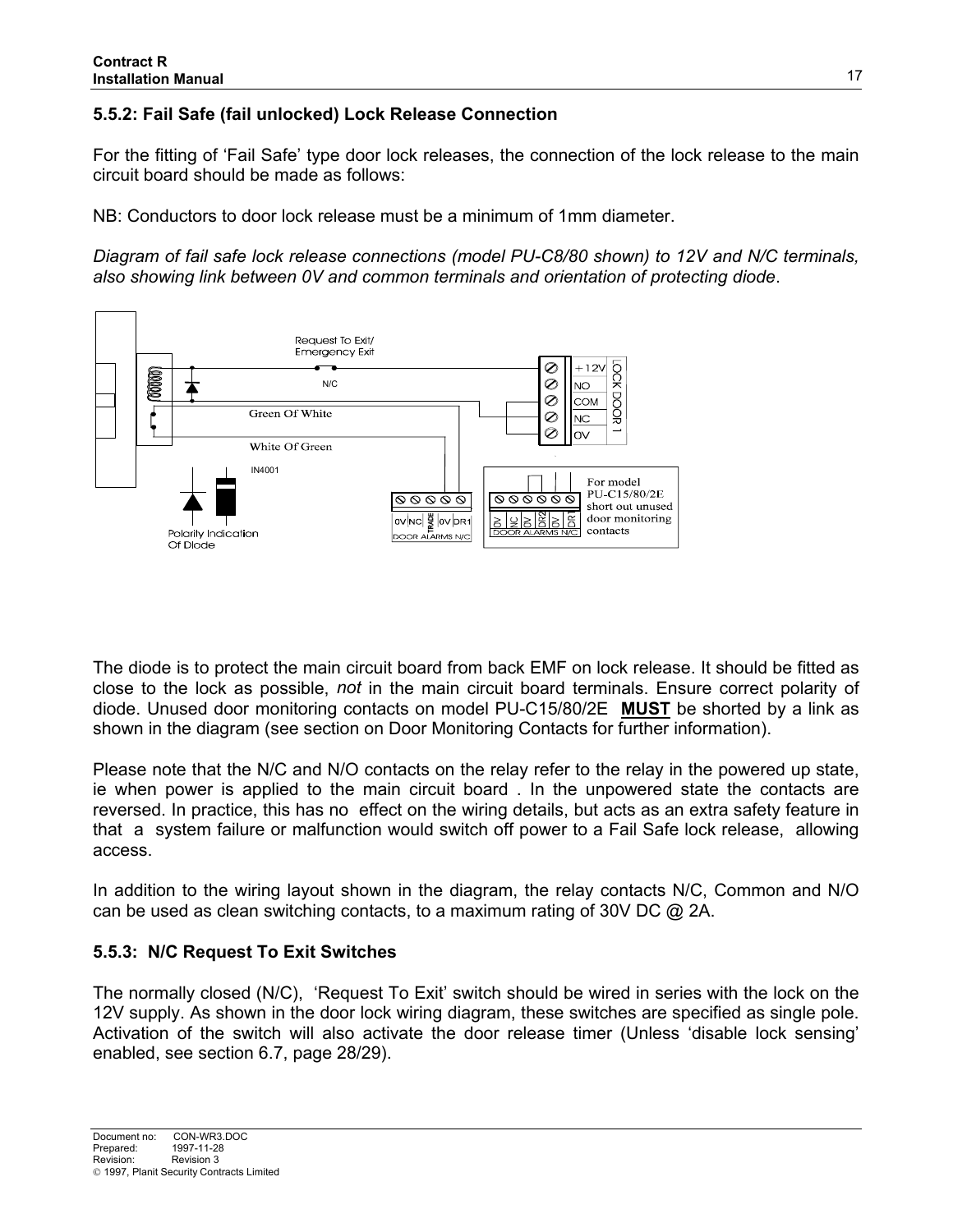# **5.5.2: Fail Safe (fail unlocked) Lock Release Connection**

For the fitting of 'Fail Safe' type door lock releases, the connection of the lock release to the main circuit board should be made as follows:

NB: Conductors to door lock release must be a minimum of 1mm diameter.

*Diagram of fail safe lock release connections (model PU-C8/80 shown) to 12V and N/C terminals, also showing link between 0V and common terminals and orientation of protecting diode*.



The diode is to protect the main circuit board from back EMF on lock release. It should be fitted as close to the lock as possible, *not* in the main circuit board terminals. Ensure correct polarity of diode. Unused door monitoring contacts on model PU-C15/80/2E **MUST** be shorted by a link as shown in the diagram (see section on Door Monitoring Contacts for further information).

Please note that the N/C and N/O contacts on the relay refer to the relay in the powered up state, ie when power is applied to the main circuit board . In the unpowered state the contacts are reversed. In practice, this has no effect on the wiring details, but acts as an extra safety feature in that a system failure or malfunction would switch off power to a Fail Safe lock release, allowing access.

In addition to the wiring layout shown in the diagram, the relay contacts N/C, Common and N/O can be used as clean switching contacts, to a maximum rating of 30V DC @ 2A.

## **5.5.3: N/C Request To Exit Switches**

The normally closed (N/C), 'Request To Exit' switch should be wired in series with the lock on the 12V supply. As shown in the door lock wiring diagram, these switches are specified as single pole. Activation of the switch will also activate the door release timer (Unless 'disable lock sensing' enabled, see section 6.7, page 28/29).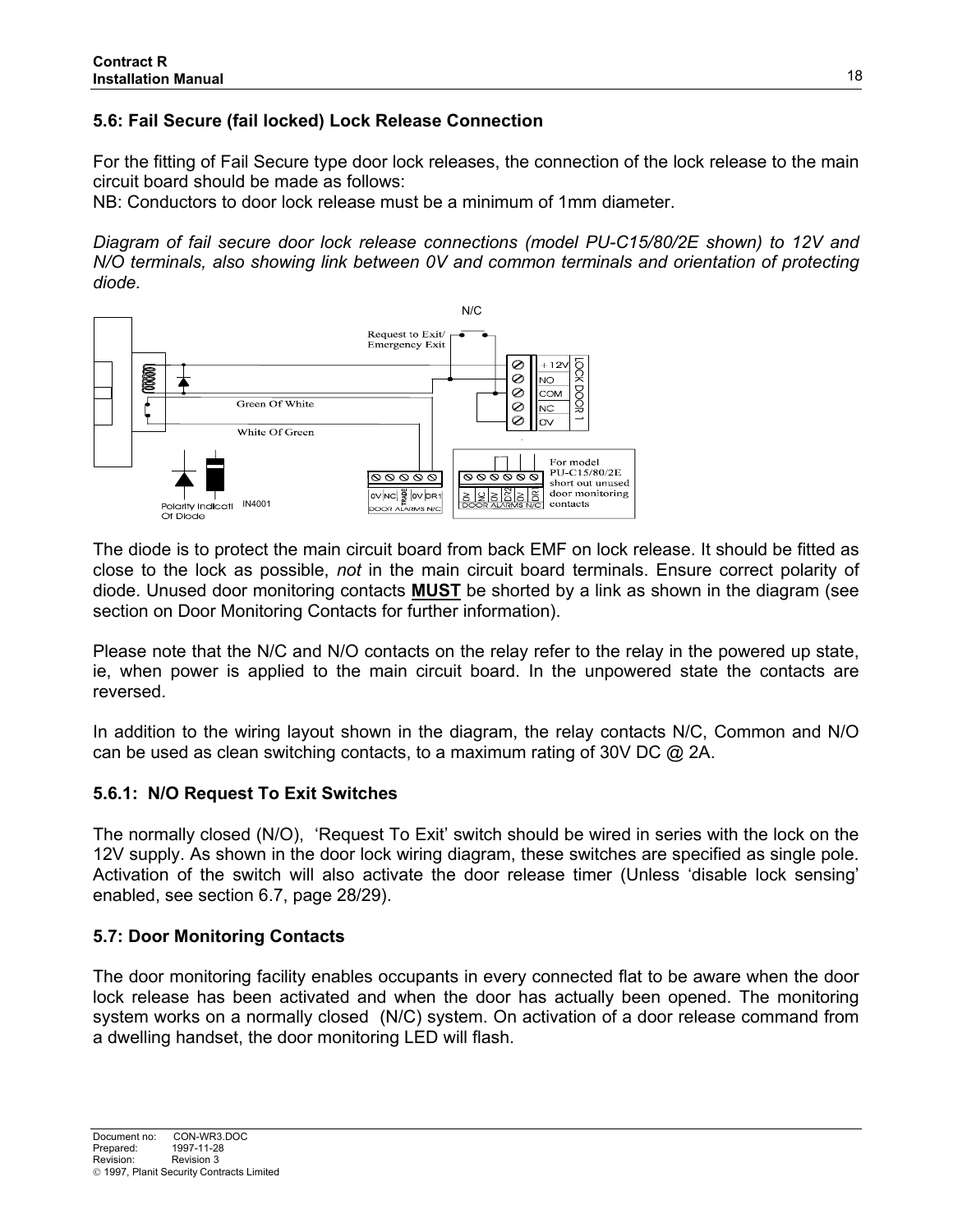# **5.6: Fail Secure (fail locked) Lock Release Connection**

For the fitting of Fail Secure type door lock releases, the connection of the lock release to the main circuit board should be made as follows:

NB: Conductors to door lock release must be a minimum of 1mm diameter.

*Diagram of fail secure door lock release connections (model PU-C15/80/2E shown) to 12V and N/O terminals, also showing link between 0V and common terminals and orientation of protecting diode.*



The diode is to protect the main circuit board from back EMF on lock release. It should be fitted as close to the lock as possible, *not* in the main circuit board terminals. Ensure correct polarity of diode. Unused door monitoring contacts **MUST** be shorted by a link as shown in the diagram (see section on Door Monitoring Contacts for further information).

Please note that the N/C and N/O contacts on the relay refer to the relay in the powered up state, ie, when power is applied to the main circuit board. In the unpowered state the contacts are reversed.

In addition to the wiring layout shown in the diagram, the relay contacts N/C, Common and N/O can be used as clean switching contacts, to a maximum rating of 30V DC @ 2A.

#### **5.6.1: N/O Request To Exit Switches**

The normally closed (N/O), 'Request To Exit' switch should be wired in series with the lock on the 12V supply. As shown in the door lock wiring diagram, these switches are specified as single pole. Activation of the switch will also activate the door release timer (Unless 'disable lock sensing' enabled, see section 6.7, page 28/29).

## **5.7: Door Monitoring Contacts**

The door monitoring facility enables occupants in every connected flat to be aware when the door lock release has been activated and when the door has actually been opened. The monitoring system works on a normally closed (N/C) system. On activation of a door release command from a dwelling handset, the door monitoring LED will flash.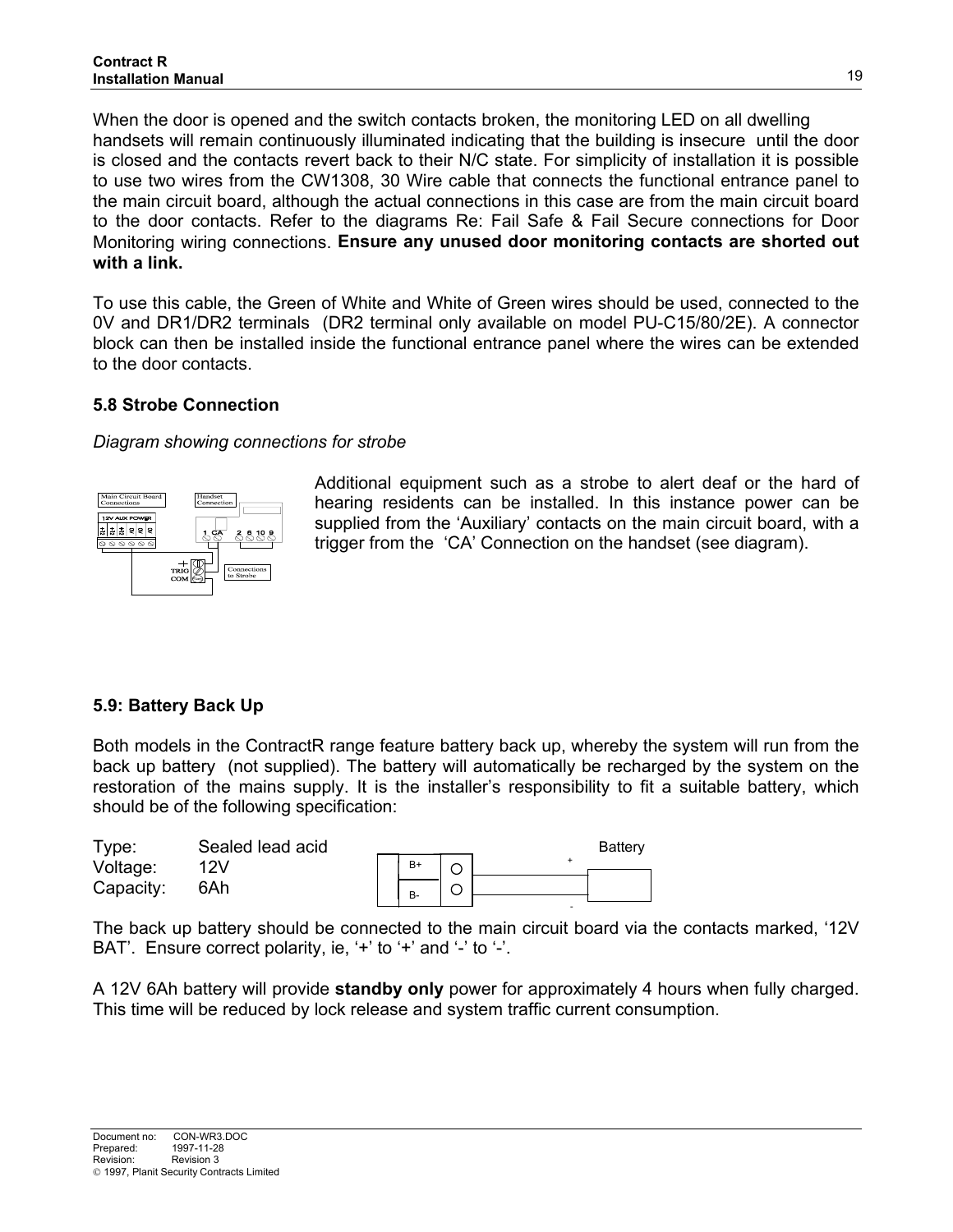When the door is opened and the switch contacts broken, the monitoring LED on all dwelling handsets will remain continuously illuminated indicating that the building is insecure until the door is closed and the contacts revert back to their N/C state. For simplicity of installation it is possible to use two wires from the CW1308, 30 Wire cable that connects the functional entrance panel to the main circuit board, although the actual connections in this case are from the main circuit board to the door contacts. Refer to the diagrams Re: Fail Safe & Fail Secure connections for Door Monitoring wiring connections. **Ensure any unused door monitoring contacts are shorted out with a link.**

To use this cable, the Green of White and White of Green wires should be used, connected to the 0V and DR1/DR2 terminals (DR2 terminal only available on model PU-C15/80/2E). A connector block can then be installed inside the functional entrance panel where the wires can be extended to the door contacts.

## **5.8 Strobe Connection**

*Diagram showing connections for strobe*



Additional equipment such as a strobe to alert deaf or the hard of hearing residents can be installed. In this instance power can be supplied from the 'Auxiliary' contacts on the main circuit board, with a trigger from the 'CA' Connection on the handset (see diagram).

## **5.9: Battery Back Up**

Both models in the ContractR range feature battery back up, whereby the system will run from the back up battery (not supplied). The battery will automatically be recharged by the system on the restoration of the mains supply. It is the installer's responsibility to fit a suitable battery, which should be of the following specification:



The back up battery should be connected to the main circuit board via the contacts marked, '12V BAT'. Ensure correct polarity, ie, '+' to '+' and '-' to '-'.

A 12V 6Ah battery will provide **standby only** power for approximately 4 hours when fully charged. This time will be reduced by lock release and system traffic current consumption.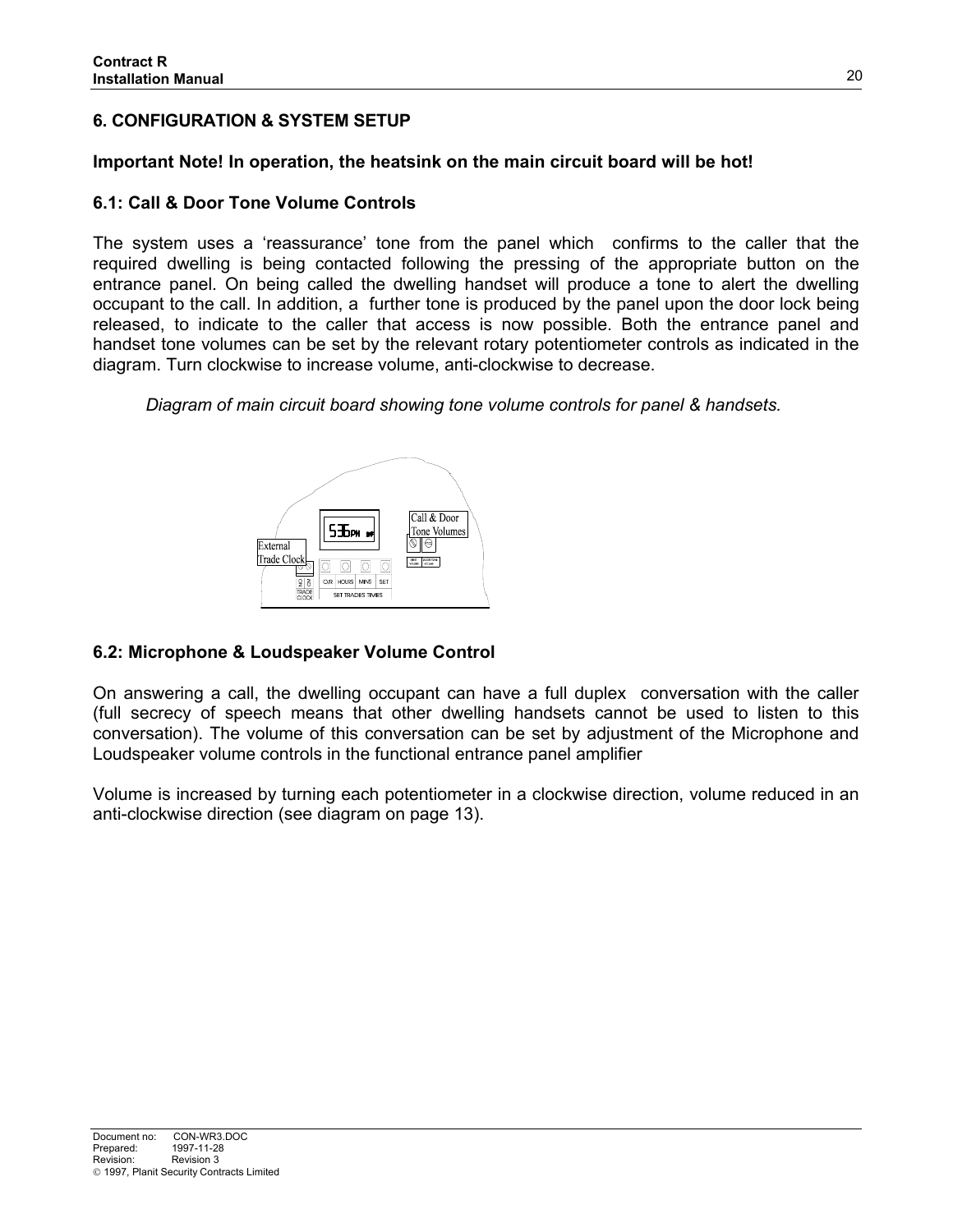# **6. CONFIGURATION & SYSTEM SETUP**

## **Important Note! In operation, the heatsink on the main circuit board will be hot!**

## **6.1: Call & Door Tone Volume Controls**

The system uses a 'reassurance' tone from the panel which confirms to the caller that the required dwelling is being contacted following the pressing of the appropriate button on the entrance panel. On being called the dwelling handset will produce a tone to alert the dwelling occupant to the call. In addition, a further tone is produced by the panel upon the door lock being released, to indicate to the caller that access is now possible. Both the entrance panel and handset tone volumes can be set by the relevant rotary potentiometer controls as indicated in the diagram. Turn clockwise to increase volume, anti-clockwise to decrease.

*Diagram of main circuit board showing tone volume controls for panel & handsets.*



## **6.2: Microphone & Loudspeaker Volume Control**

On answering a call, the dwelling occupant can have a full duplex conversation with the caller (full secrecy of speech means that other dwelling handsets cannot be used to listen to this conversation). The volume of this conversation can be set by adjustment of the Microphone and Loudspeaker volume controls in the functional entrance panel amplifier

Volume is increased by turning each potentiometer in a clockwise direction, volume reduced in an anti-clockwise direction (see diagram on page 13).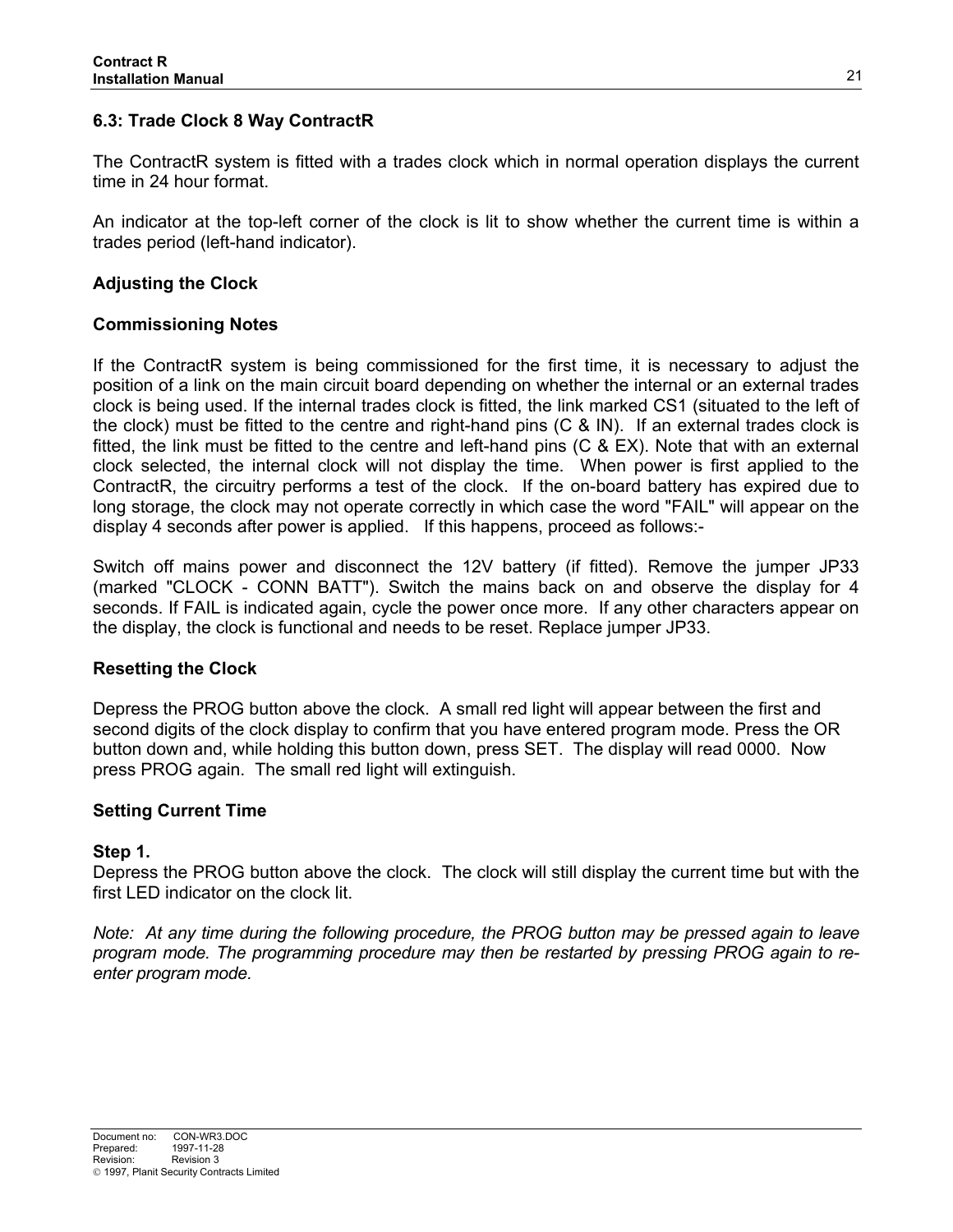## **6.3: Trade Clock 8 Way ContractR**

The ContractR system is fitted with a trades clock which in normal operation displays the current time in 24 hour format.

An indicator at the top-left corner of the clock is lit to show whether the current time is within a trades period (left-hand indicator).

## **Adjusting the Clock**

## **Commissioning Notes**

If the ContractR system is being commissioned for the first time, it is necessary to adjust the position of a link on the main circuit board depending on whether the internal or an external trades clock is being used. If the internal trades clock is fitted, the link marked CS1 (situated to the left of the clock) must be fitted to the centre and right-hand pins (C & IN). If an external trades clock is fitted, the link must be fitted to the centre and left-hand pins (C & EX). Note that with an external clock selected, the internal clock will not display the time. When power is first applied to the ContractR, the circuitry performs a test of the clock. If the on-board battery has expired due to long storage, the clock may not operate correctly in which case the word "FAIL" will appear on the display 4 seconds after power is applied. If this happens, proceed as follows:-

Switch off mains power and disconnect the 12V battery (if fitted). Remove the jumper JP33 (marked "CLOCK - CONN BATT"). Switch the mains back on and observe the display for 4 seconds. If FAIL is indicated again, cycle the power once more. If any other characters appear on the display, the clock is functional and needs to be reset. Replace jumper JP33.

#### **Resetting the Clock**

Depress the PROG button above the clock. A small red light will appear between the first and second digits of the clock display to confirm that you have entered program mode. Press the OR button down and, while holding this button down, press SET. The display will read 0000. Now press PROG again. The small red light will extinguish.

#### **Setting Current Time**

#### **Step 1.**

Depress the PROG button above the clock. The clock will still display the current time but with the first LED indicator on the clock lit.

*Note: At any time during the following procedure, the PROG button may be pressed again to leave program mode. The programming procedure may then be restarted by pressing PROG again to reenter program mode.*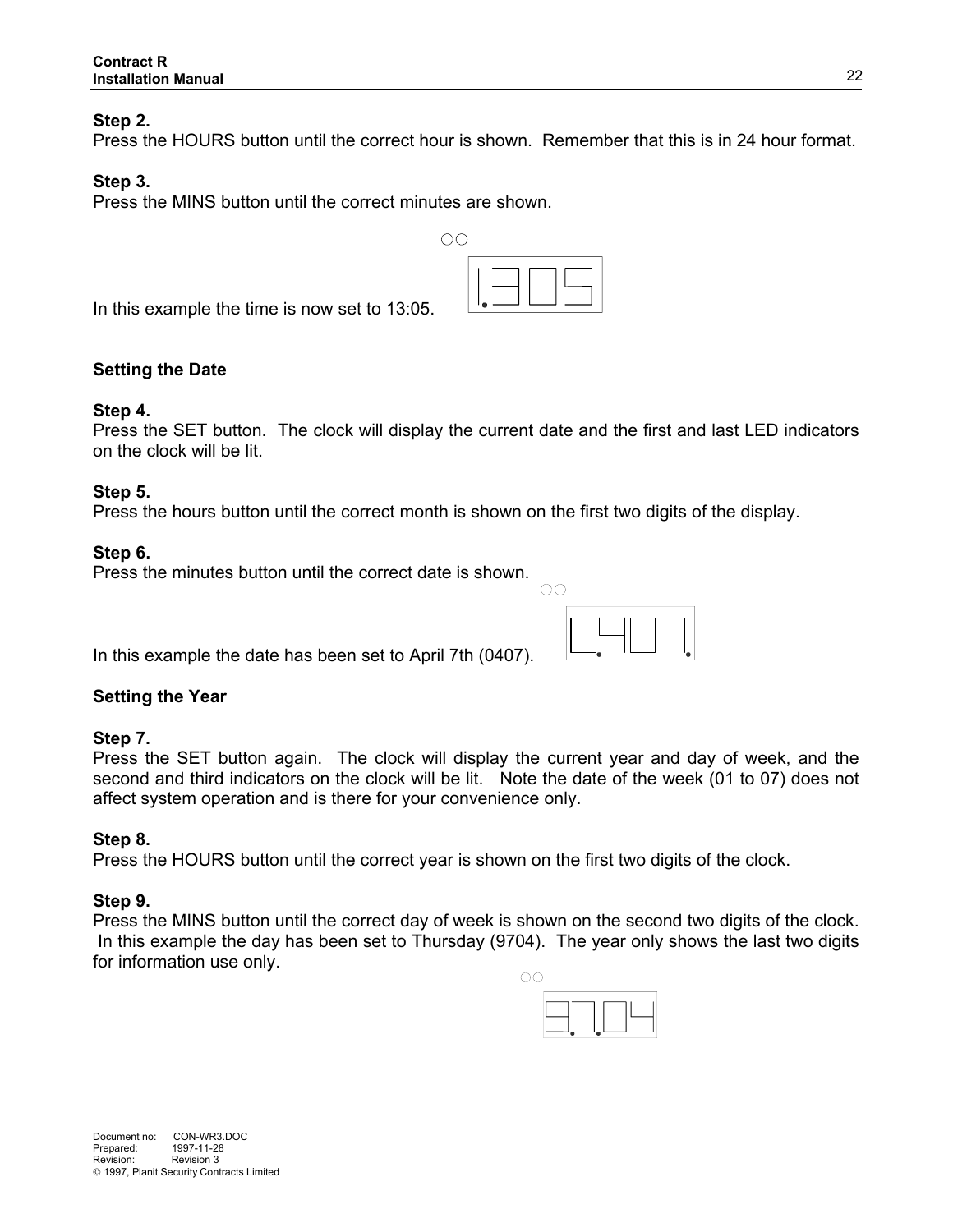#### **Step 2.**

Press the HOURS button until the correct hour is shown. Remember that this is in 24 hour format.

#### **Step 3.**

Press the MINS button until the correct minutes are shown.

In this example the time is now set to 13:05.

## **Setting the Date**

#### **Step 4.**

Press the SET button. The clock will display the current date and the first and last LED indicators on the clock will be lit.

#### **Step 5.**

Press the hours button until the correct month is shown on the first two digits of the display.

#### **Step 6.**

Press the minutes button until the correct date is shown.

In this example the date has been set to April 7th (0407).

#### **Setting the Year**

#### **Step 7.**

Press the SET button again. The clock will display the current year and day of week, and the second and third indicators on the clock will be lit. Note the date of the week (01 to 07) does not affect system operation and is there for your convenience only.

#### **Step 8.**

Press the HOURS button until the correct year is shown on the first two digits of the clock.

#### **Step 9.**

Press the MINS button until the correct day of week is shown on the second two digits of the clock. In this example the day has been set to Thursday (9704). The year only shows the last two digits for information use only.





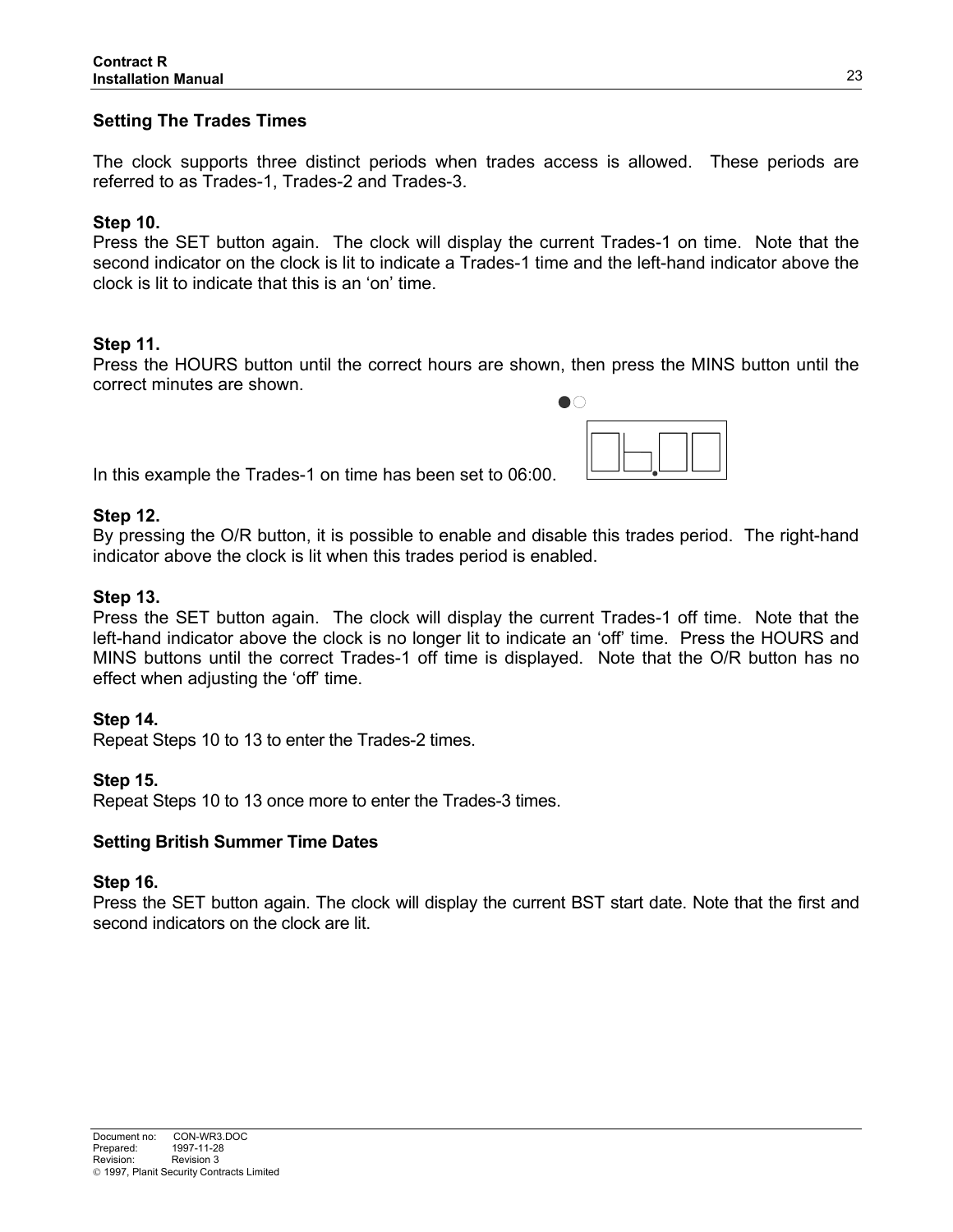## **Setting The Trades Times**

The clock supports three distinct periods when trades access is allowed. These periods are referred to as Trades-1, Trades-2 and Trades-3.

#### **Step 10.**

Press the SET button again. The clock will display the current Trades-1 on time. Note that the second indicator on the clock is lit to indicate a Trades-1 time and the left-hand indicator above the clock is lit to indicate that this is an 'on' time.

#### **Step 11.**

Press the HOURS button until the correct hours are shown, then press the MINS button until the correct minutes are shown.

In this example the Trades-1 on time has been set to 06:00.

#### **Step 12.**

By pressing the O/R button, it is possible to enable and disable this trades period. The right-hand indicator above the clock is lit when this trades period is enabled.

#### **Step 13.**

Press the SET button again. The clock will display the current Trades-1 off time. Note that the left-hand indicator above the clock is no longer lit to indicate an 'off' time. Press the HOURS and MINS buttons until the correct Trades-1 off time is displayed. Note that the O/R button has no effect when adjusting the 'off' time.

#### **Step 14.**

Repeat Steps 10 to 13 to enter the Trades-2 times.

#### **Step 15.**

Repeat Steps 10 to 13 once more to enter the Trades-3 times.

#### **Setting British Summer Time Dates**

#### **Step 16.**

Press the SET button again. The clock will display the current BST start date. Note that the first and second indicators on the clock are lit.

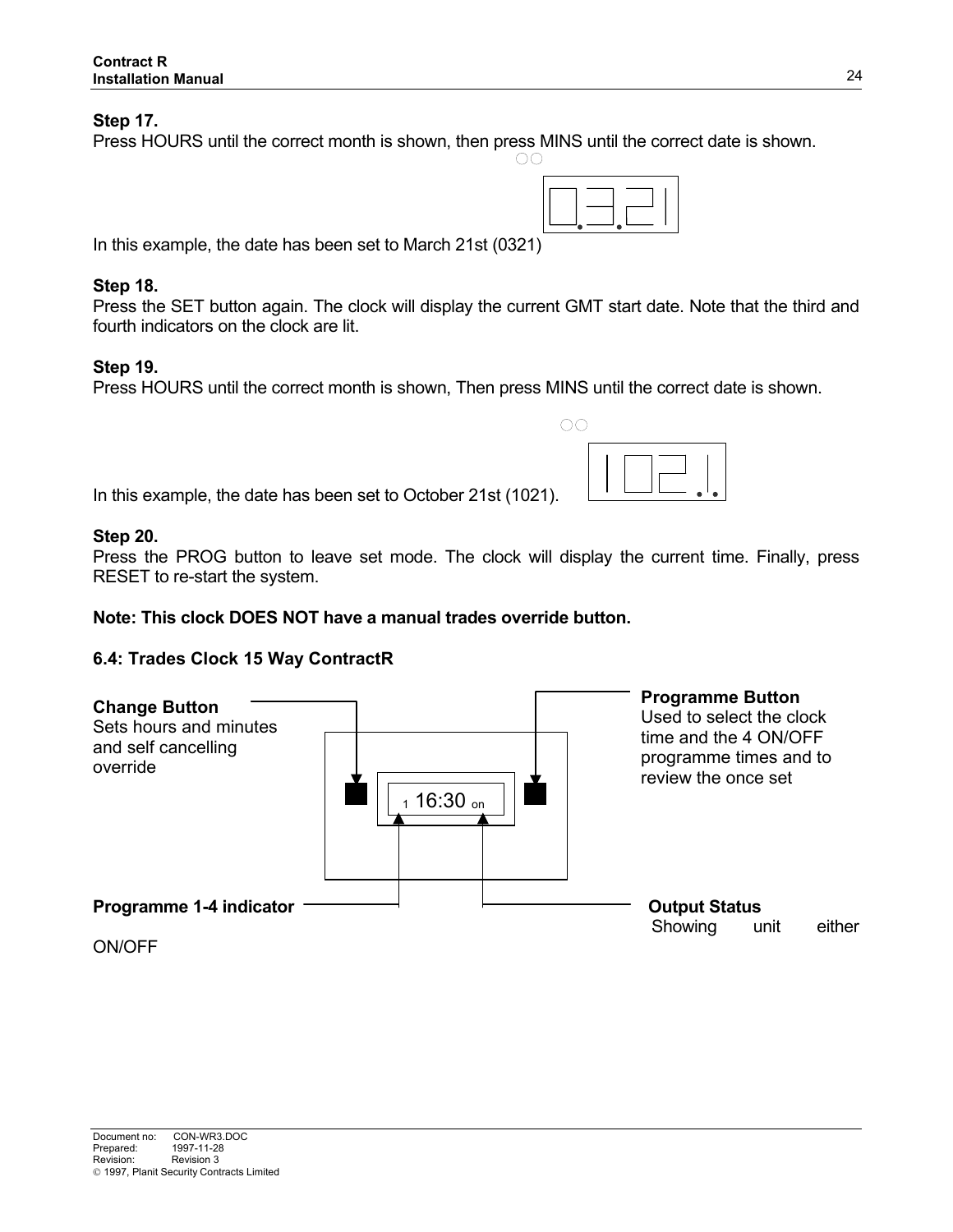#### **Step 17.**

Press HOURS until the correct month is shown, then press MINS until the correct date is shown.

In this example, the date has been set to March 21st (0321)

#### **Step 18.**

Press the SET button again. The clock will display the current GMT start date. Note that the third and fourth indicators on the clock are lit.

#### **Step 19.**

Press HOURS until the correct month is shown, Then press MINS until the correct date is shown.

In this example, the date has been set to October 21st (1021).

#### **Step 20.**

Press the PROG button to leave set mode. The clock will display the current time. Finally, press RESET to re-start the system.

#### **Note: This clock DOES NOT have a manual trades override button.**

#### **6.4: Trades Clock 15 Way ContractR**



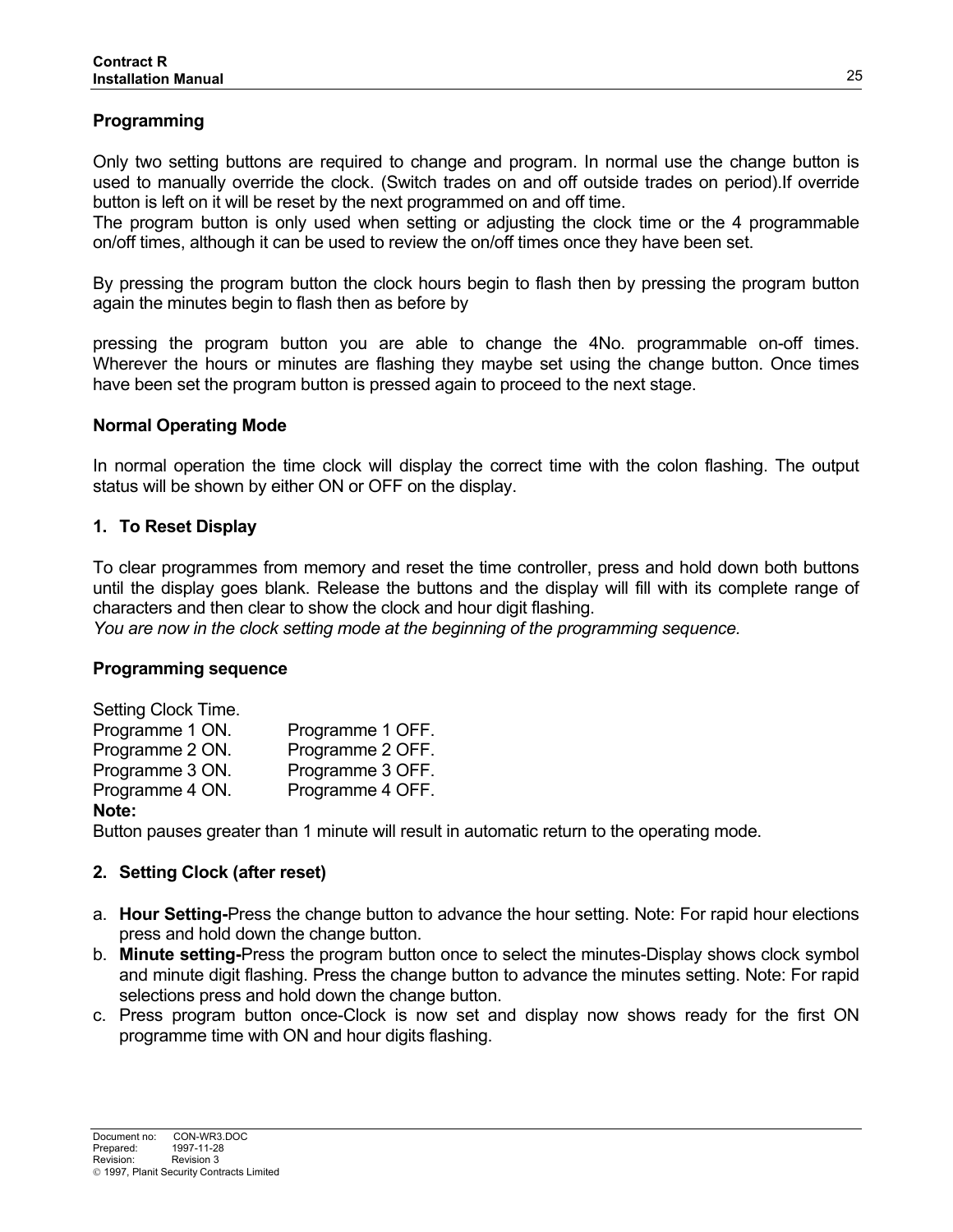## **Programming**

Only two setting buttons are required to change and program. In normal use the change button is used to manually override the clock. (Switch trades on and off outside trades on period).If override button is left on it will be reset by the next programmed on and off time.

The program button is only used when setting or adjusting the clock time or the 4 programmable on/off times, although it can be used to review the on/off times once they have been set.

By pressing the program button the clock hours begin to flash then by pressing the program button again the minutes begin to flash then as before by

pressing the program button you are able to change the 4No. programmable on-off times. Wherever the hours or minutes are flashing they maybe set using the change button. Once times have been set the program button is pressed again to proceed to the next stage.

#### **Normal Operating Mode**

In normal operation the time clock will display the correct time with the colon flashing. The output status will be shown by either ON or OFF on the display.

#### **1. To Reset Display**

To clear programmes from memory and reset the time controller, press and hold down both buttons until the display goes blank. Release the buttons and the display will fill with its complete range of characters and then clear to show the clock and hour digit flashing.

*You are now in the clock setting mode at the beginning of the programming sequence.* 

#### **Programming sequence**

| Setting Clock Time. |                  |
|---------------------|------------------|
| Programme 1 ON.     | Programme 1 OFF. |
| Programme 2 ON.     | Programme 2 OFF. |
| Programme 3 ON.     | Programme 3 OFF. |
| Programme 4 ON.     | Programme 4 OFF. |
| Note:               |                  |

Button pauses greater than 1 minute will result in automatic return to the operating mode.

#### **2. Setting Clock (after reset)**

- a. **Hour Setting-**Press the change button to advance the hour setting. Note: For rapid hour elections press and hold down the change button.
- b. **Minute setting-**Press the program button once to select the minutes-Display shows clock symbol and minute digit flashing. Press the change button to advance the minutes setting. Note: For rapid selections press and hold down the change button.
- c. Press program button once-Clock is now set and display now shows ready for the first ON programme time with ON and hour digits flashing.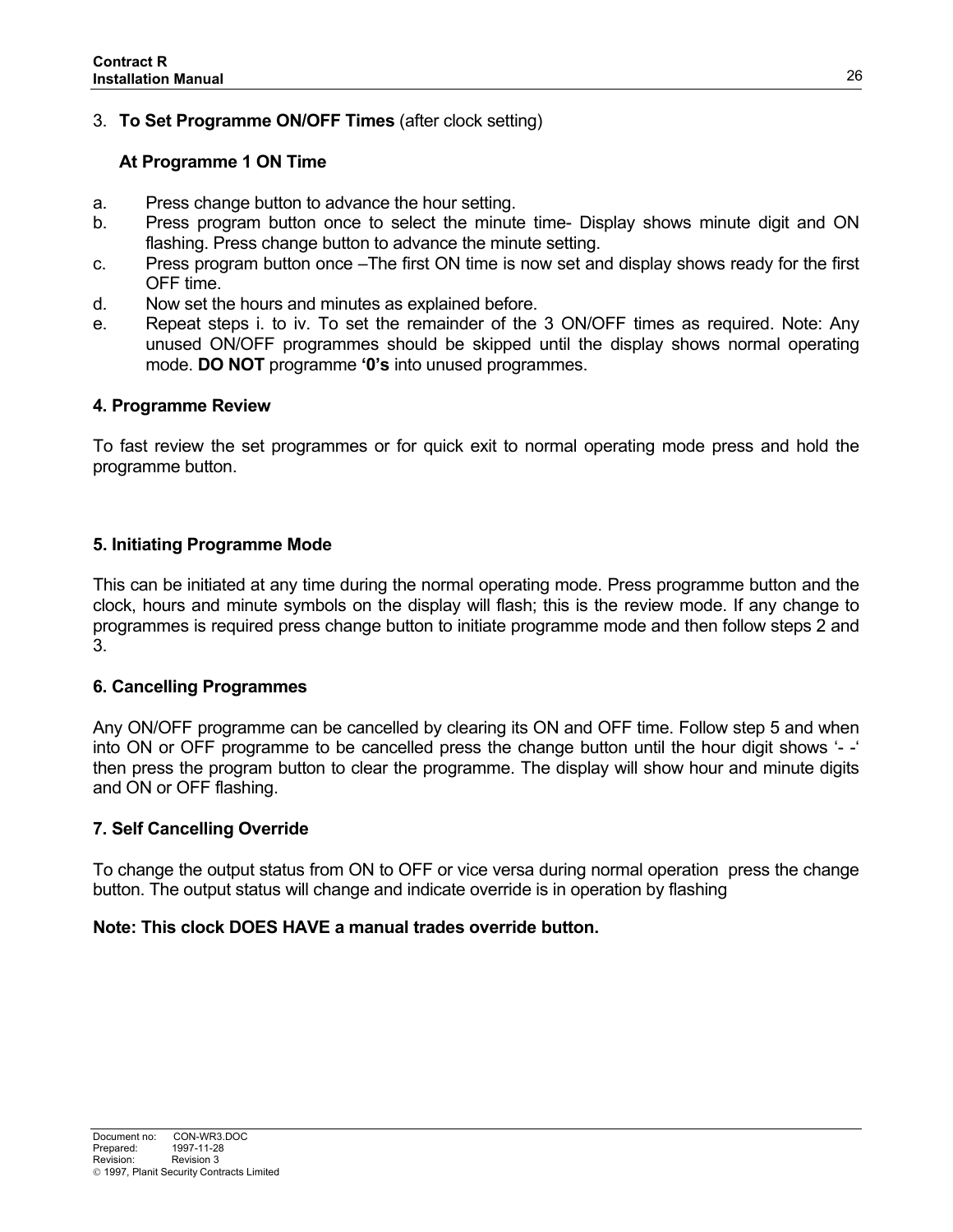# 3. **To Set Programme ON/OFF Times** (after clock setting)

## **At Programme 1 ON Time**

- a. Press change button to advance the hour setting.
- b. Press program button once to select the minute time- Display shows minute digit and ON flashing. Press change button to advance the minute setting.
- c. Press program button once –The first ON time is now set and display shows ready for the first OFF time.
- d. Now set the hours and minutes as explained before.
- e. Repeat steps i. to iv. To set the remainder of the 3 ON/OFF times as required. Note: Any unused ON/OFF programmes should be skipped until the display shows normal operating mode. **DO NOT** programme **'0's** into unused programmes.

## **4. Programme Review**

To fast review the set programmes or for quick exit to normal operating mode press and hold the programme button.

## **5. Initiating Programme Mode**

This can be initiated at any time during the normal operating mode. Press programme button and the clock, hours and minute symbols on the display will flash; this is the review mode. If any change to programmes is required press change button to initiate programme mode and then follow steps 2 and 3.

## **6. Cancelling Programmes**

Any ON/OFF programme can be cancelled by clearing its ON and OFF time. Follow step 5 and when into ON or OFF programme to be cancelled press the change button until the hour digit shows '- -' then press the program button to clear the programme. The display will show hour and minute digits and ON or OFF flashing.

#### **7. Self Cancelling Override**

To change the output status from ON to OFF or vice versa during normal operation press the change button. The output status will change and indicate override is in operation by flashing

#### **Note: This clock DOES HAVE a manual trades override button.**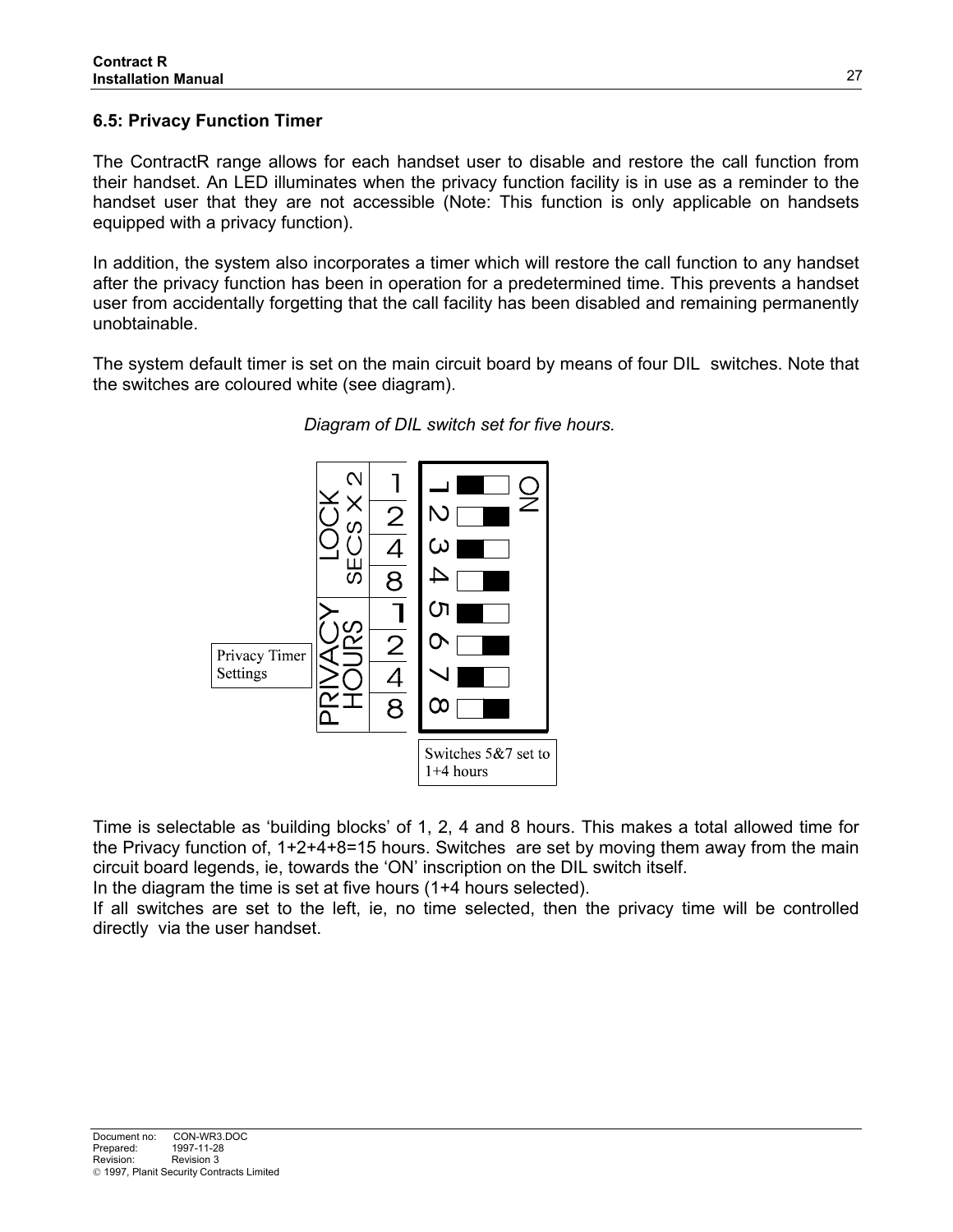## **6.5: Privacy Function Timer**

The ContractR range allows for each handset user to disable and restore the call function from their handset. An LED illuminates when the privacy function facility is in use as a reminder to the handset user that they are not accessible (Note: This function is only applicable on handsets equipped with a privacy function).

In addition, the system also incorporates a timer which will restore the call function to any handset after the privacy function has been in operation for a predetermined time. This prevents a handset user from accidentally forgetting that the call facility has been disabled and remaining permanently unobtainable.

The system default timer is set on the main circuit board by means of four DIL switches. Note that the switches are coloured white (see diagram).



#### *Diagram of DIL switch set for five hours.*

Time is selectable as 'building blocks' of 1, 2, 4 and 8 hours. This makes a total allowed time for the Privacy function of, 1+2+4+8=15 hours. Switches are set by moving them away from the main circuit board legends, ie, towards the 'ON' inscription on the DIL switch itself.

In the diagram the time is set at five hours (1+4 hours selected).

If all switches are set to the left, ie, no time selected, then the privacy time will be controlled directly via the user handset.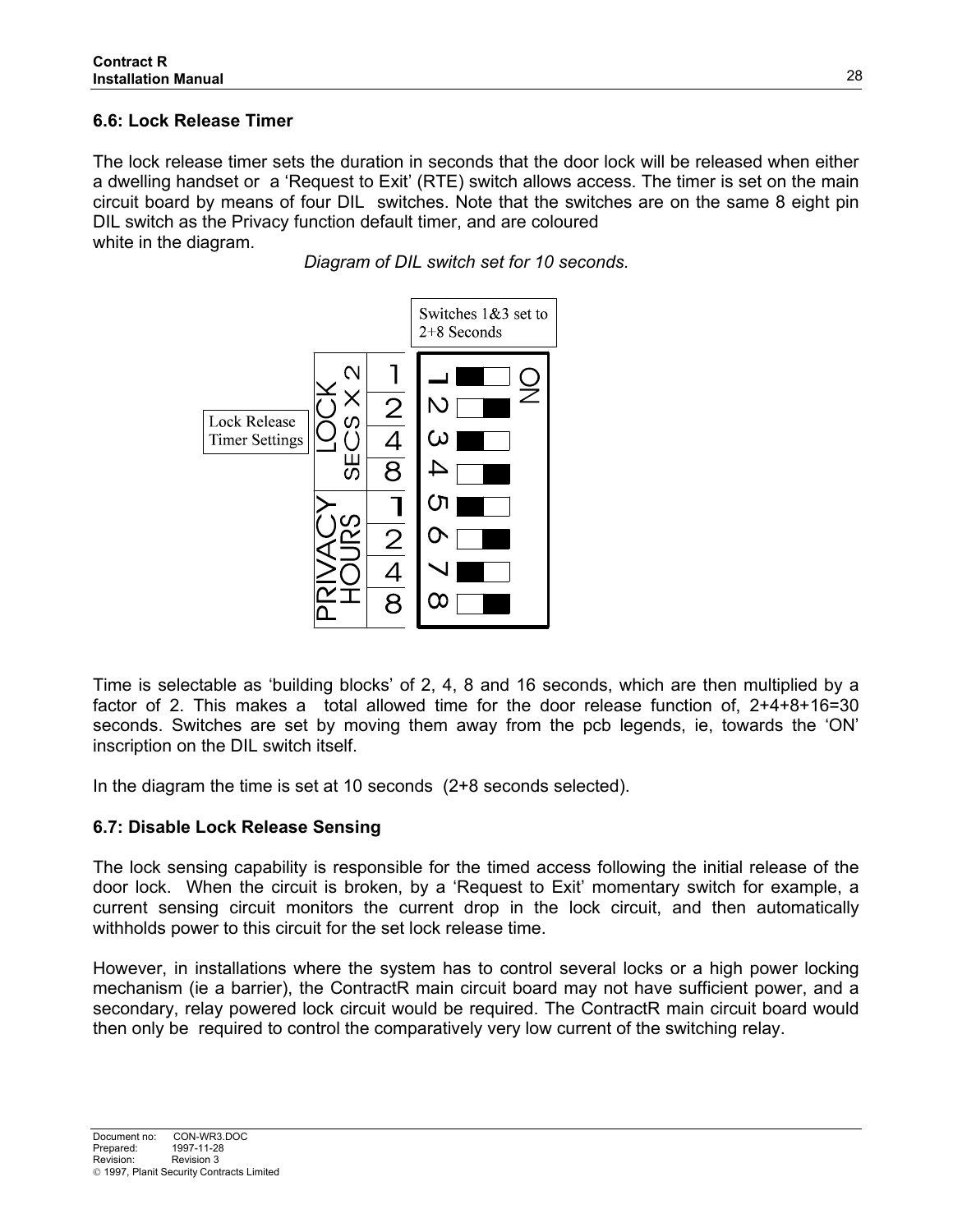# **6.6: Lock Release Timer**

The lock release timer sets the duration in seconds that the door lock will be released when either a dwelling handset or a 'Request to Exit' (RTE) switch allows access. The timer is set on the main circuit board by means of four DIL switches. Note that the switches are on the same 8 eight pin DIL switch as the Privacy function default timer, and are coloured white in the diagram.

*Diagram of DIL switch set for 10 seconds.*



Time is selectable as 'building blocks' of 2, 4, 8 and 16 seconds, which are then multiplied by a factor of 2. This makes a total allowed time for the door release function of, 2+4+8+16=30 seconds. Switches are set by moving them away from the pcb legends, ie, towards the 'ON' inscription on the DIL switch itself.

In the diagram the time is set at 10 seconds (2+8 seconds selected).

## **6.7: Disable Lock Release Sensing**

The lock sensing capability is responsible for the timed access following the initial release of the door lock. When the circuit is broken, by a 'Request to Exit' momentary switch for example, a current sensing circuit monitors the current drop in the lock circuit, and then automatically withholds power to this circuit for the set lock release time.

However, in installations where the system has to control several locks or a high power locking mechanism (ie a barrier), the ContractR main circuit board may not have sufficient power, and a secondary, relay powered lock circuit would be required. The ContractR main circuit board would then only be required to control the comparatively very low current of the switching relay.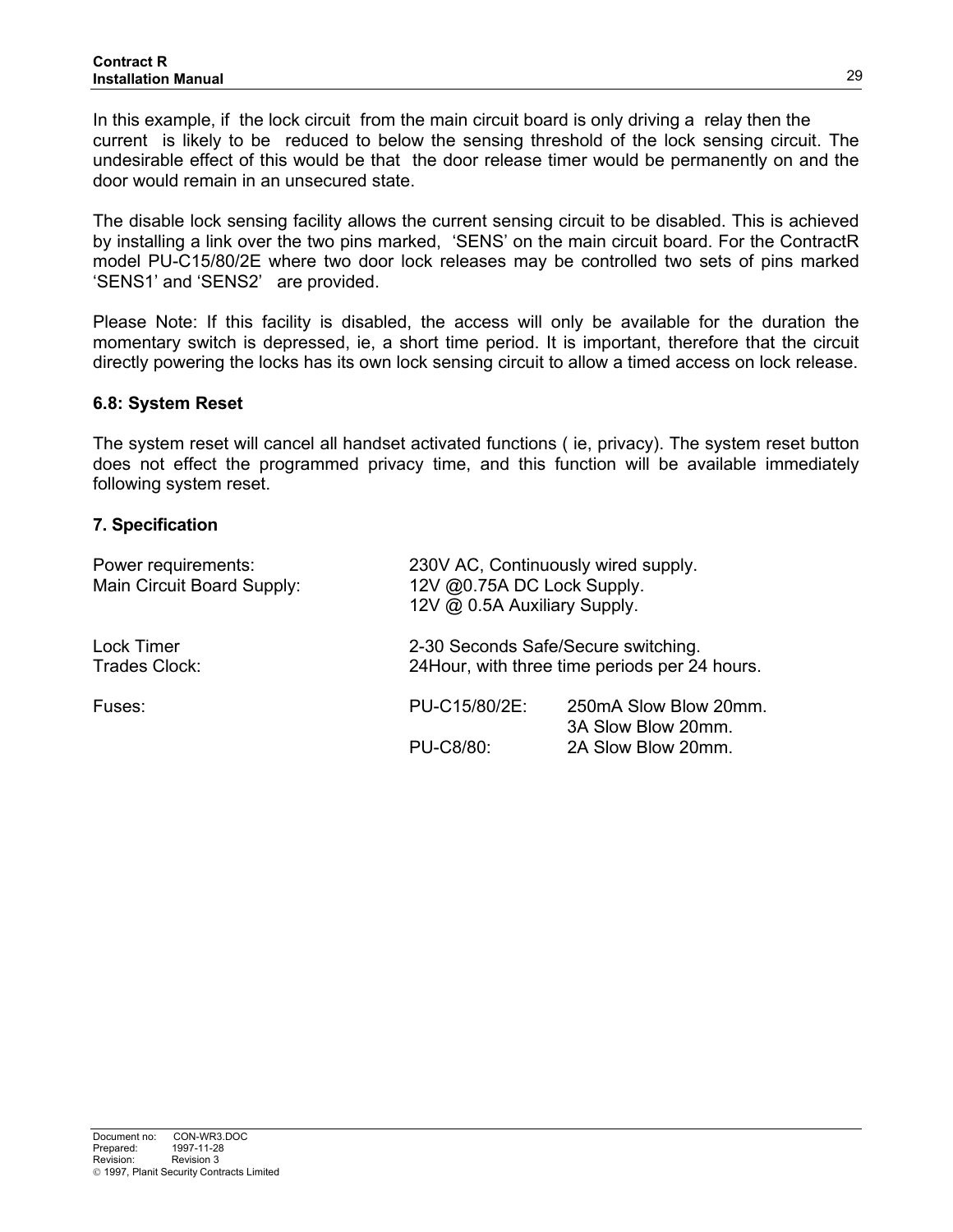In this example, if the lock circuit from the main circuit board is only driving a relay then the current is likely to be reduced to below the sensing threshold of the lock sensing circuit. The undesirable effect of this would be that the door release timer would be permanently on and the door would remain in an unsecured state.

The disable lock sensing facility allows the current sensing circuit to be disabled. This is achieved by installing a link over the two pins marked, 'SENS' on the main circuit board. For the ContractR model PU-C15/80/2E where two door lock releases may be controlled two sets of pins marked 'SENS1' and 'SENS2' are provided.

Please Note: If this facility is disabled, the access will only be available for the duration the momentary switch is depressed, ie, a short time period. It is important, therefore that the circuit directly powering the locks has its own lock sensing circuit to allow a timed access on lock release.

#### **6.8: System Reset**

The system reset will cancel all handset activated functions ( ie, privacy). The system reset button does not effect the programmed privacy time, and this function will be available immediately following system reset.

#### **7. Specification**

| Power requirements:<br>Main Circuit Board Supply: |               | 230V AC, Continuously wired supply.<br>12V @0.75A DC Lock Supply.<br>12V @ 0.5A Auxiliary Supply. |  |  |  |  |
|---------------------------------------------------|---------------|---------------------------------------------------------------------------------------------------|--|--|--|--|
| Lock Timer<br>Trades Clock:                       |               | 2-30 Seconds Safe/Secure switching.<br>24 Hour, with three time periods per 24 hours.             |  |  |  |  |
| Fuses:                                            | PU-C15/80/2E: | 250mA Slow Blow 20mm.<br>3A Slow Blow 20mm.                                                       |  |  |  |  |
|                                                   | PU-C8/80:     | 2A Slow Blow 20mm.                                                                                |  |  |  |  |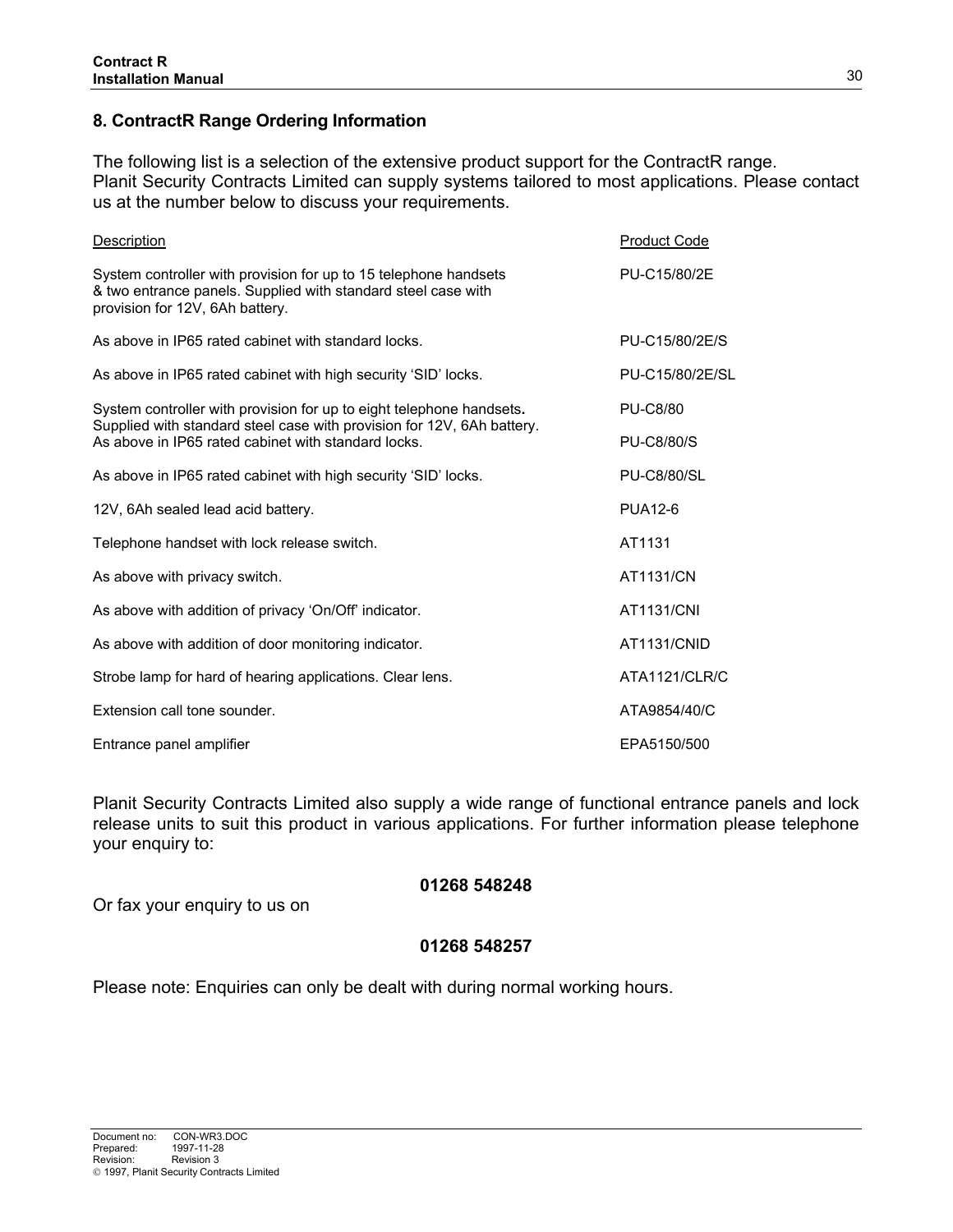## **8. ContractR Range Ordering Information**

The following list is a selection of the extensive product support for the ContractR range. Planit Security Contracts Limited can supply systems tailored to most applications. Please contact us at the number below to discuss your requirements.

| <b>Description</b>                                                                                                                                                   | <b>Product Code</b> |
|----------------------------------------------------------------------------------------------------------------------------------------------------------------------|---------------------|
| System controller with provision for up to 15 telephone handsets<br>& two entrance panels. Supplied with standard steel case with<br>provision for 12V, 6Ah battery. | PU-C15/80/2E        |
| As above in IP65 rated cabinet with standard locks.                                                                                                                  | PU-C15/80/2E/S      |
| As above in IP65 rated cabinet with high security 'SID' locks.                                                                                                       | PU-C15/80/2E/SL     |
| System controller with provision for up to eight telephone handsets.<br>Supplied with standard steel case with provision for 12V, 6Ah battery.                       | <b>PU-C8/80</b>     |
| As above in IP65 rated cabinet with standard locks.                                                                                                                  | <b>PU-C8/80/S</b>   |
| As above in IP65 rated cabinet with high security 'SID' locks.                                                                                                       | <b>PU-C8/80/SL</b>  |
| 12V, 6Ah sealed lead acid battery.                                                                                                                                   | PUA <sub>12-6</sub> |
| Telephone handset with lock release switch.                                                                                                                          | AT1131              |
| As above with privacy switch.                                                                                                                                        | AT1131/CN           |
| As above with addition of privacy 'On/Off' indicator.                                                                                                                | <b>AT1131/CNI</b>   |
| As above with addition of door monitoring indicator.                                                                                                                 | AT1131/CNID         |
| Strobe lamp for hard of hearing applications. Clear lens.                                                                                                            | ATA1121/CLR/C       |
| Extension call tone sounder.                                                                                                                                         | ATA9854/40/C        |
| Entrance panel amplifier                                                                                                                                             | EPA5150/500         |

Planit Security Contracts Limited also supply a wide range of functional entrance panels and lock release units to suit this product in various applications. For further information please telephone your enquiry to:

#### **01268 548248**

Or fax your enquiry to us on

#### **01268 548257**

Please note: Enquiries can only be dealt with during normal working hours.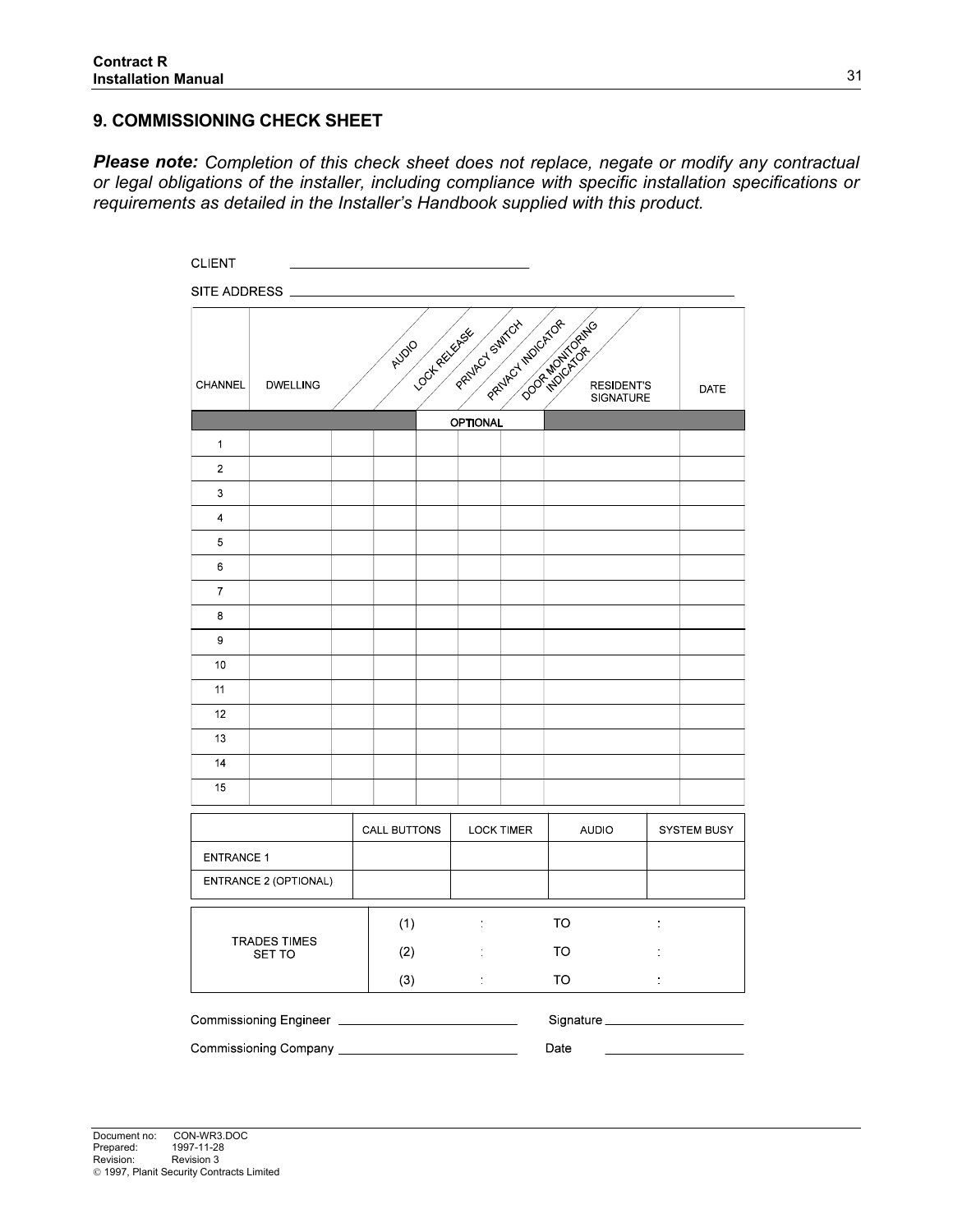# **9. COMMISSIONING CHECK SHEET**

*Please note: Completion of this check sheet does not replace, negate or modify any contractual or legal obligations of the installer, including compliance with specific installation specifications or requirements as detailed in the Installer's Handbook supplied with this product.* 

| <b>CLIENT</b>                        |                              |     |                     |                 |                   |                                                              |                                       |                    |
|--------------------------------------|------------------------------|-----|---------------------|-----------------|-------------------|--------------------------------------------------------------|---------------------------------------|--------------------|
|                                      | SITE ADDRESS ______          |     |                     |                 |                   |                                                              |                                       |                    |
| CHANNEL                              | <b>DWELLING</b>              |     | AUDIO               |                 |                   | <b>OCKEY PROTECT POLITICAL PROTECTION OF REAL PROTECTION</b> | <b>RESIDENT'S</b><br><b>SIGNATURE</b> | DATE               |
|                                      |                              |     |                     | <b>OPTIONAL</b> |                   |                                                              |                                       |                    |
| $\mathbf{1}$                         |                              |     |                     |                 |                   |                                                              |                                       |                    |
| $\overline{2}$                       |                              |     |                     |                 |                   |                                                              |                                       |                    |
| 3                                    |                              |     |                     |                 |                   |                                                              |                                       |                    |
| $\overline{4}$                       |                              |     |                     |                 |                   |                                                              |                                       |                    |
| 5                                    |                              |     |                     |                 |                   |                                                              |                                       |                    |
| 6                                    |                              |     |                     |                 |                   |                                                              |                                       |                    |
| $\overline{7}$                       |                              |     |                     |                 |                   |                                                              |                                       |                    |
| 8                                    |                              |     |                     |                 |                   |                                                              |                                       |                    |
| 9                                    |                              |     |                     |                 |                   |                                                              |                                       |                    |
| 10                                   |                              |     |                     |                 |                   |                                                              |                                       |                    |
| 11                                   |                              |     |                     |                 |                   |                                                              |                                       |                    |
| 12                                   |                              |     |                     |                 |                   |                                                              |                                       |                    |
| 13                                   |                              |     |                     |                 |                   |                                                              |                                       |                    |
| 14                                   |                              |     |                     |                 |                   |                                                              |                                       |                    |
| 15                                   |                              |     |                     |                 |                   |                                                              |                                       |                    |
|                                      |                              |     | <b>CALL BUTTONS</b> |                 | <b>LOCK TIMER</b> | <b>AUDIO</b>                                                 |                                       | <b>SYSTEM BUSY</b> |
| <b>ENTRANCE 1</b>                    |                              |     |                     |                 |                   |                                                              |                                       |                    |
|                                      | ENTRANCE 2 (OPTIONAL)        |     |                     |                 |                   |                                                              |                                       |                    |
| <b>TRADES TIMES</b><br><b>SET TO</b> |                              | (1) | $\frac{1}{2}$       |                 | <b>TO</b>         | t                                                            |                                       |                    |
|                                      |                              | (2) | ÷                   |                 | TO                |                                                              |                                       |                    |
|                                      |                              |     | (3)                 | $\frac{1}{2}$   |                   | <b>TO</b>                                                    | ÷,                                    |                    |
|                                      | Commissioning Engineer       |     |                     |                 |                   | Signature                                                    |                                       |                    |
|                                      | Commissioning Company ______ |     |                     |                 |                   | Date                                                         |                                       |                    |